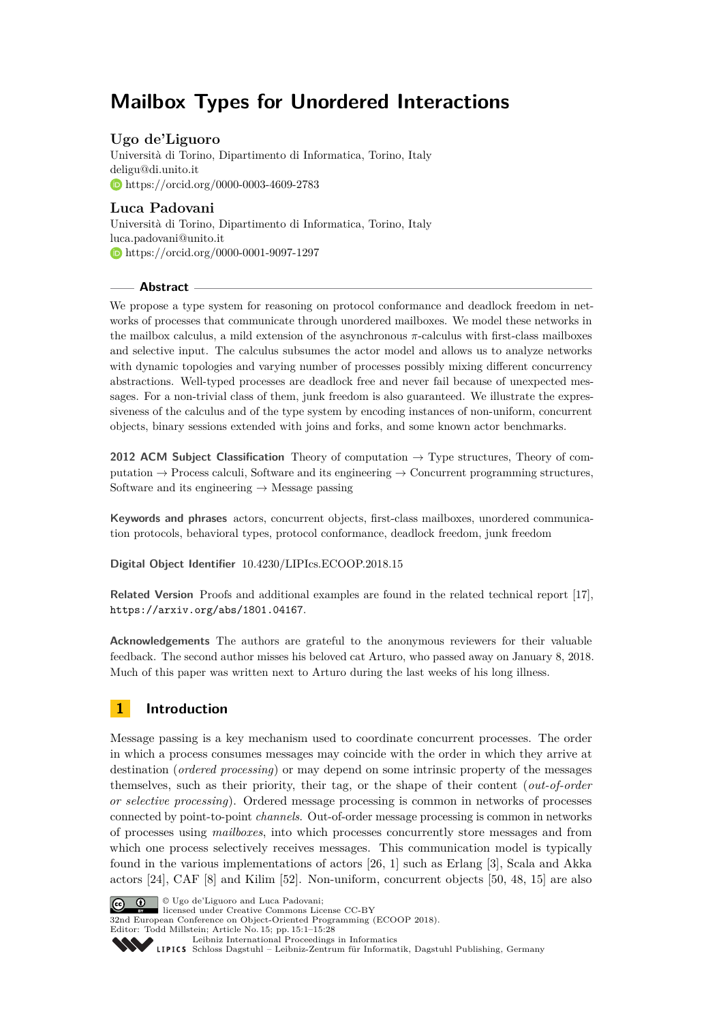# **Mailbox Types for Unordered Interactions**

# **Ugo de'Liguoro**

Università di Torino, Dipartimento di Informatica, Torino, Italy [deligu@di.unito.it](mailto:deligu@di.unito.it) <https://orcid.org/0000-0003-4609-2783>

# **Luca Padovani**

Università di Torino, Dipartimento di Informatica, Torino, Italy [luca.padovani@unito.it](mailto:luca.padovani@unito.it) <https://orcid.org/0000-0001-9097-1297>

# **Abstract**

We propose a type system for reasoning on protocol conformance and deadlock freedom in networks of processes that communicate through unordered mailboxes. We model these networks in the mailbox calculus, a mild extension of the asynchronous *π*-calculus with first-class mailboxes and selective input. The calculus subsumes the actor model and allows us to analyze networks with dynamic topologies and varying number of processes possibly mixing different concurrency abstractions. Well-typed processes are deadlock free and never fail because of unexpected messages. For a non-trivial class of them, junk freedom is also guaranteed. We illustrate the expressiveness of the calculus and of the type system by encoding instances of non-uniform, concurrent objects, binary sessions extended with joins and forks, and some known actor benchmarks.

**2012 ACM Subject Classification** Theory of computation → Type structures, Theory of computation  $\rightarrow$  Process calculi, Software and its engineering  $\rightarrow$  Concurrent programming structures, Software and its engineering  $\rightarrow$  Message passing

**Keywords and phrases** actors, concurrent objects, first-class mailboxes, unordered communication protocols, behavioral types, protocol conformance, deadlock freedom, junk freedom

**Digital Object Identifier** [10.4230/LIPIcs.ECOOP.2018.15](http://dx.doi.org/10.4230/LIPIcs.ECOOP.2018.15)

**Related Version** Proofs and additional examples are found in the related technical report [\[17\]](#page-25-0), <https://arxiv.org/abs/1801.04167>.

**Acknowledgements** The authors are grateful to the anonymous reviewers for their valuable feedback. The second author misses his beloved cat Arturo, who passed away on January 8, 2018. Much of this paper was written next to Arturo during the last weeks of his long illness.

# **1 Introduction**

Message passing is a key mechanism used to coordinate concurrent processes. The order in which a process consumes messages may coincide with the order in which they arrive at destination (*ordered processing*) or may depend on some intrinsic property of the messages themselves, such as their priority, their tag, or the shape of their content (*out-of-order or selective processing*). Ordered message processing is common in networks of processes connected by point-to-point *channels*. Out-of-order message processing is common in networks of processes using *mailboxes*, into which processes concurrently store messages and from which one process selectively receives messages. This communication model is typically found in the various implementations of actors [\[26,](#page-26-0) [1\]](#page-25-1) such as Erlang [\[3\]](#page-25-2), Scala and Akka actors [\[24\]](#page-26-1), CAF [\[8\]](#page-25-3) and Kilim [\[52\]](#page-27-0). Non-uniform, concurrent objects [\[50,](#page-27-1) [48,](#page-27-2) [15\]](#page-25-4) are also



**c U**go de'Liguoro and Luca Padovani: licensed under Creative Commons License CC-BY

32nd European Conference on Object-Oriented Programming (ECOOP 2018). Editor: Todd Millstein; Article No. 15; pp. 15:1–15[:28](#page-27-3)

[Leibniz International Proceedings in Informatics](http://www.dagstuhl.de/lipics/)

Leibniz International Froceedings in miormatics<br>
LIPICS [Schloss Dagstuhl – Leibniz-Zentrum für Informatik, Dagstuhl Publishing, Germany](http://www.dagstuhl.de)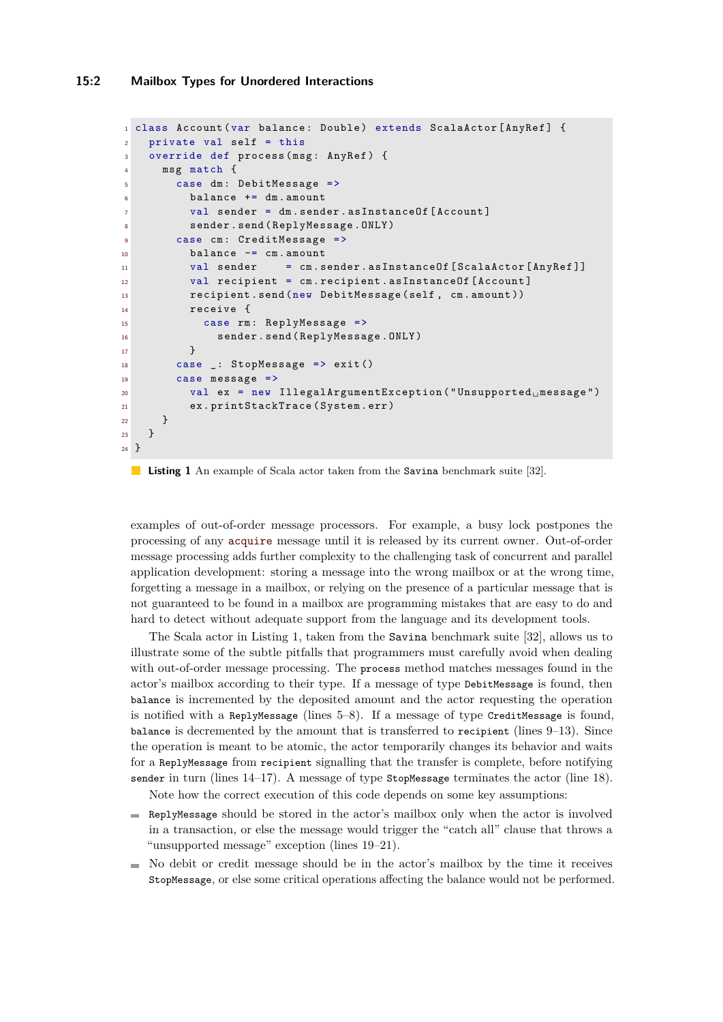#### **15:2 Mailbox Types for Unordered Interactions**

```
1 class Account (var balance: Double) extends ScalaActor [AnyRef] {
2 private val self = this
3 override def process (msg: AnyRef) {
4 msg match {
5 case dm : DebitMessage =>
6 balance += dm . amount
7 val sender = dm . sender . asInstanceOf [ Account ]
8 sender . send (ReplyMessage . ONLY)
9 case cm: CreditMessage =>
10 balance -= cm.amount
11 val sender = cm. sender . asInstanceOf [ScalaActor [AnyRef]]
12 val recipient = cm.recipient.asInstanceOf [Account]
13 recipient . send (new DebitMessage ( self , cm . amount ))
14 receive {
15 case rm : ReplyMessage =>
16 sender . send (ReplyMessage . ONLY)
17 }
18 case _: StopMessage => exit ()
19 case message =>
20 val ex = new IllegalArgumentException ("Unsupported 
message")
21 ex . printStackTrace ( System . err )
22 }
23 }
24 }
```
#### <span id="page-1-9"></span><span id="page-1-8"></span><span id="page-1-7"></span><span id="page-1-6"></span><span id="page-1-5"></span>**Listing 1** An example of Scala actor taken from the Savina benchmark suite [\[32\]](#page-26-2).

examples of out-of-order message processors. For example, a busy lock postpones the processing of any acquire message until it is released by its current owner. Out-of-order message processing adds further complexity to the challenging task of concurrent and parallel application development: storing a message into the wrong mailbox or at the wrong time, forgetting a message in a mailbox, or relying on the presence of a particular message that is not guaranteed to be found in a mailbox are programming mistakes that are easy to do and hard to detect without adequate support from the language and its development tools.

The Scala actor in Listing [1,](#page-1-0) taken from the Savina benchmark suite [\[32\]](#page-26-2), allows us to illustrate some of the subtle pitfalls that programmers must carefully avoid when dealing with out-of-order message processing. The process method matches messages found in the actor's mailbox according to their type. If a message of type DebitMessage is found, then balance is incremented by the deposited amount and the actor requesting the operation is notified with a ReplyMessage (lines  $5-8$ ). If a message of type CreditMessage is found, balance is decremented by the amount that is transferred to recipient (lines [9](#page-1-3)[–13\)](#page-1-4). Since the operation is meant to be atomic, the actor temporarily changes its behavior and waits for a ReplyMessage from recipient signalling that the transfer is complete, before notifying sender in turn (lines  $14-17$ ). A message of type StopMessage terminates the actor (line [18\)](#page-1-7).

Note how the correct execution of this code depends on some key assumptions:

- ReplyMessage should be stored in the actor's mailbox only when the actor is involved in a transaction, or else the message would trigger the "catch all" clause that throws a "unsupported message" exception (lines [19–](#page-1-8)[21\)](#page-1-9).
- $\blacksquare$  No debit or credit message should be in the actor's mailbox by the time it receives StopMessage, or else some critical operations affecting the balance would not be performed.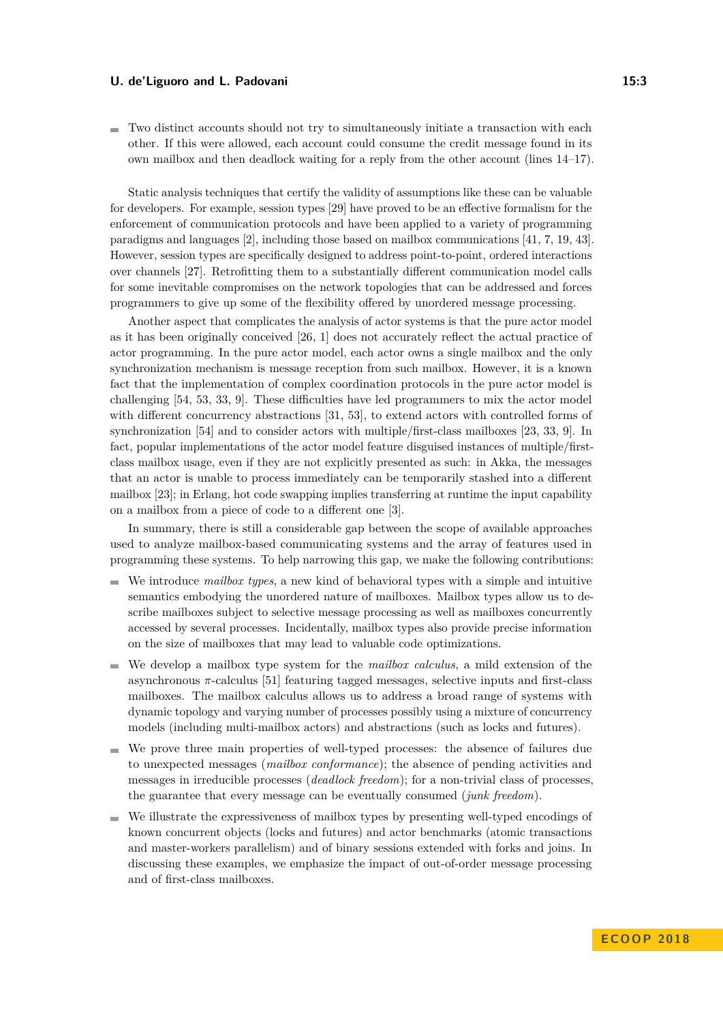$\blacksquare$  Two distinct accounts should not try to simultaneously initiate a transaction with each other. If this were allowed, each account could consume the credit message found in its own mailbox and then deadlock waiting for a reply from the other account (lines [14–](#page-1-5)[17\)](#page-1-6).

Static analysis techniques that certify the validity of assumptions like these can be valuable for developers. For example, session types [\[29\]](#page-26-3) have proved to be an effective formalism for the enforcement of communication protocols and have been applied to a variety of programming paradigms and languages [\[2\]](#page-25-5), including those based on mailbox communications [\[41,](#page-27-4) [7,](#page-25-6) [19,](#page-25-7) [43\]](#page-27-5). However, session types are specifically designed to address point-to-point, ordered interactions over channels [\[27\]](#page-26-4). Retrofitting them to a substantially different communication model calls for some inevitable compromises on the network topologies that can be addressed and forces programmers to give up some of the flexibility offered by unordered message processing.

Another aspect that complicates the analysis of actor systems is that the pure actor model as it has been originally conceived [\[26,](#page-26-0) [1\]](#page-25-1) does not accurately reflect the actual practice of actor programming. In the pure actor model, each actor owns a single mailbox and the only synchronization mechanism is message reception from such mailbox. However, it is a known fact that the implementation of complex coordination protocols in the pure actor model is challenging [\[54,](#page-27-6) [53,](#page-27-7) [33,](#page-26-5) [9\]](#page-25-8). These difficulties have led programmers to mix the actor model with different concurrency abstractions [\[31,](#page-26-6) [53\]](#page-27-7), to extend actors with controlled forms of synchronization [\[54\]](#page-27-6) and to consider actors with multiple/first-class mailboxes [\[23,](#page-26-7) [33,](#page-26-5) [9\]](#page-25-8). In fact, popular implementations of the actor model feature disguised instances of multiple/firstclass mailbox usage, even if they are not explicitly presented as such: in Akka, the messages that an actor is unable to process immediately can be temporarily stashed into a different mailbox [\[23\]](#page-26-7); in Erlang, hot code swapping implies transferring at runtime the input capability on a mailbox from a piece of code to a different one [\[3\]](#page-25-2).

In summary, there is still a considerable gap between the scope of available approaches used to analyze mailbox-based communicating systems and the array of features used in programming these systems. To help narrowing this gap, we make the following contributions:

- We introduce *mailbox types*, a new kind of behavioral types with a simple and intuitive semantics embodying the unordered nature of mailboxes. Mailbox types allow us to describe mailboxes subject to selective message processing as well as mailboxes concurrently accessed by several processes. Incidentally, mailbox types also provide precise information on the size of mailboxes that may lead to valuable code optimizations.
- We develop a mailbox type system for the *mailbox calculus*, a mild extension of the asynchronous *π*-calculus [\[51\]](#page-27-8) featuring tagged messages, selective inputs and first-class mailboxes. The mailbox calculus allows us to address a broad range of systems with dynamic topology and varying number of processes possibly using a mixture of concurrency models (including multi-mailbox actors) and abstractions (such as locks and futures).
- We prove three main properties of well-typed processes: the absence of failures due  $\blacksquare$ to unexpected messages (*mailbox conformance*); the absence of pending activities and messages in irreducible processes (*deadlock freedom*); for a non-trivial class of processes, the guarantee that every message can be eventually consumed (*junk freedom*).
- We illustrate the expressiveness of mailbox types by presenting well-typed encodings of  $\blacksquare$ known concurrent objects (locks and futures) and actor benchmarks (atomic transactions and master-workers parallelism) and of binary sessions extended with forks and joins. In discussing these examples, we emphasize the impact of out-of-order message processing and of first-class mailboxes.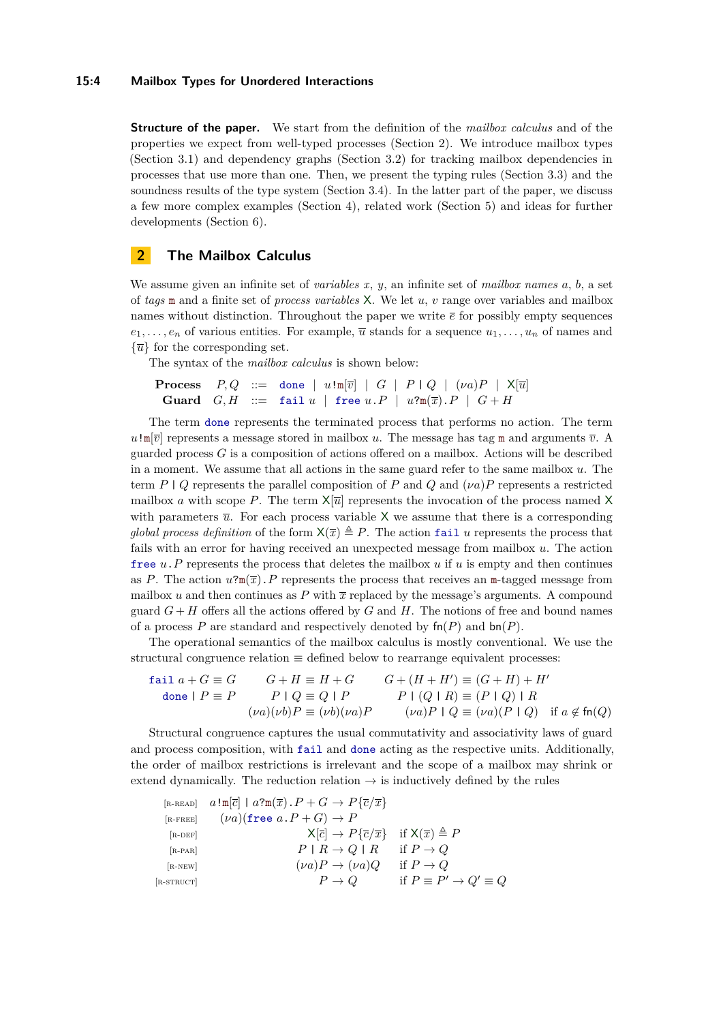#### **15:4 Mailbox Types for Unordered Interactions**

**Structure of the paper.** We start from the definition of the *mailbox calculus* and of the properties we expect from well-typed processes (Section [2\)](#page-3-0). We introduce mailbox types (Section [3.1\)](#page-6-0) and dependency graphs (Section [3.2\)](#page-8-0) for tracking mailbox dependencies in processes that use more than one. Then, we present the typing rules (Section [3.3\)](#page-9-0) and the soundness results of the type system (Section [3.4\)](#page-15-0). In the latter part of the paper, we discuss a few more complex examples (Section [4\)](#page-16-0), related work (Section [5\)](#page-21-0) and ideas for further developments (Section [6\)](#page-24-0).

# <span id="page-3-0"></span>**2 The Mailbox Calculus**

We assume given an infinite set of *variables x*, *y*, an infinite set of *mailbox names a*, *b*, a set of *tags* m and a finite set of *process variables* X. We let *u*, *v* range over variables and mailbox names without distinction. Throughout the paper we write  $\bar{e}$  for possibly empty sequences  $e_1, \ldots, e_n$  of various entities. For example,  $\overline{u}$  stands for a sequence  $u_1, \ldots, u_n$  of names and  $\{\overline{u}\}\$ for the corresponding set.

The syntax of the *mailbox calculus* is shown below:

```
Process P,Q ::= done | u!m[\overline{v}] | G | P | Q | (va)P | X[\overline{u}]Guard G, H ::= fail u \mid free u.P \mid u?m(\overline{x}) \cdot P \mid G + H
```
The term done represents the terminated process that performs no action. The term  $u$ !m $[\overline{v}]$  represents a message stored in mailbox *u*. The message has tag m and arguments  $\overline{v}$ . guarded process *G* is a composition of actions offered on a mailbox. Actions will be described in a moment. We assume that all actions in the same guard refer to the same mailbox *u*. The term *P* | *Q* represents the parallel composition of *P* and *Q* and (*νa*)*P* represents a restricted mailbox *a* with scope *P*. The term  $X[\overline{u}]$  represents the invocation of the process named X with parameters  $\bar{u}$ . For each process variable  $X$  we assume that there is a corresponding *global process definition* of the form  $X(\overline{x}) \triangleq P$ . The action fail *u* represents the process that fails with an error for having received an unexpected message from mailbox *u*. The action free *u*.*P* represents the process that deletes the mailbox *u* if *u* is empty and then continues as *P*. The action  $u$ ?m( $\overline{x}$ ). *P* represents the process that receives an m-tagged message from mailbox *u* and then continues as  $P$  with  $\bar{x}$  replaced by the message's arguments. A compound guard  $G + H$  offers all the actions offered by  $G$  and  $H$ . The notions of free and bound names of a process P are standard and respectively denoted by  $fn(P)$  and  $bn(P)$ .

The operational semantics of the mailbox calculus is mostly conventional. We use the structural congruence relation  $\equiv$  defined below to rearrange equivalent processes:

$$
\begin{array}{ll}\n\text{fail } a + G \equiv G & G + H \equiv H + G & G + (H + H') \equiv (G + H) + H' \\
\text{done } P \equiv P & P \mid Q \equiv Q \mid P & P \mid (Q \mid R) \equiv (P \mid Q) \mid R \\
& (\nu a)(\nu b)P \equiv (\nu b)(\nu a)P & (\nu a)P \mid Q \equiv (\nu a)(P \mid Q) & \text{if } a \notin \text{fn}(Q)\n\end{array}
$$

Structural congruence captures the usual commutativity and associativity laws of guard and process composition, with fail and done acting as the respective units. Additionally, the order of mailbox restrictions is irrelevant and the scope of a mailbox may shrink or extend dynamically. The reduction relation  $\rightarrow$  is inductively defined by the rules

<span id="page-3-6"></span><span id="page-3-5"></span><span id="page-3-4"></span><span id="page-3-3"></span><span id="page-3-2"></span><span id="page-3-1"></span>

|              | [R-READ] $a! \mathfrak{m}[\overline{c}] \mid a? \mathfrak{m}(\overline{x}) \cdot P + G \rightarrow P\{\overline{c}/\overline{x}\}\$ |                                          |
|--------------|-------------------------------------------------------------------------------------------------------------------------------------|------------------------------------------|
| $[R$ -FREE   | $(\nu a)($ free $a \cdot P + G) \rightarrow P$                                                                                      |                                          |
| $[R-DEF]$    | $X[\overline{c}] \rightarrow P\{\overline{c}/\overline{x}\}\$ if $X(\overline{x}) \triangleq P$                                     |                                          |
| $[R-PAR]$    | $P \mid R \to Q \mid R$                                                                                                             | if $P \to Q$                             |
| $[R-NEW]$    | $(\nu a)P \rightarrow (\nu a)Q$                                                                                                     | if $P \to Q$                             |
| $[R-STRUCT]$ | $P \to Q$                                                                                                                           | if $P \equiv P' \rightarrow Q' \equiv Q$ |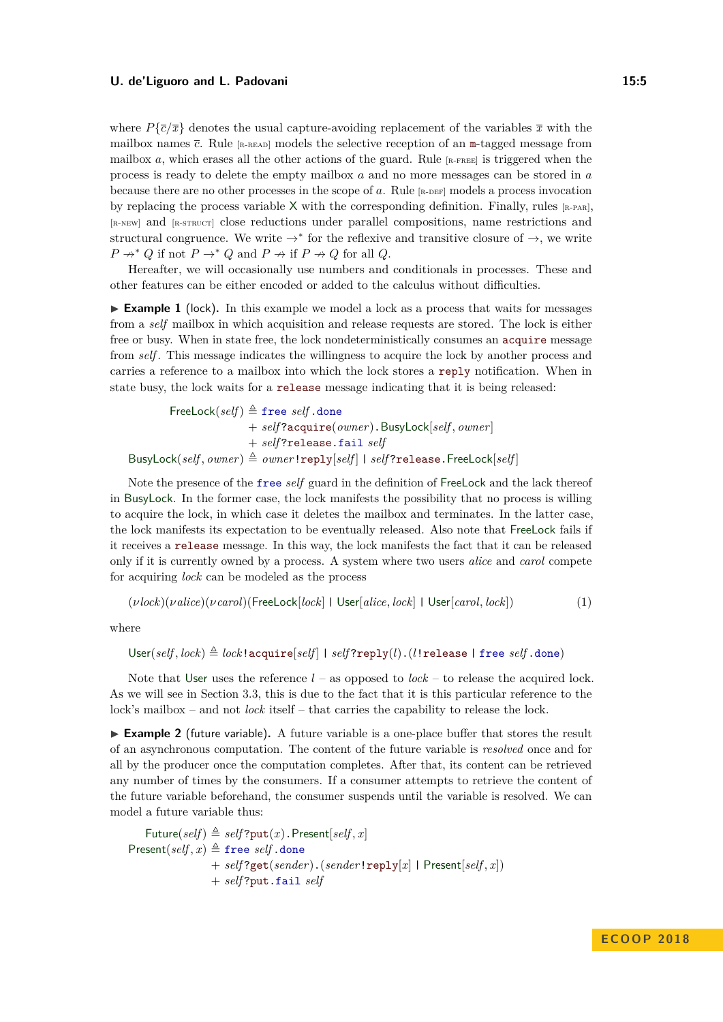where  $P{\bar{c}/\bar{x}}$  denotes the usual capture-avoiding replacement of the variables  $\bar{x}$  with the mailbox names  $\bar{c}$ . Rule  $\left[\text{R-READ}\right]$  models the selective reception of an m-tagged message from mailbox *a*, which erases all the other actions of the guard. Rule  $_{\text{[R-FREL]}}$  is triggered when the process is ready to delete the empty mailbox *a* and no more messages can be stored in *a* because there are no other processes in the scope of  $a$ . Rule  $_{\lbrack R\text{-DEF}]}$  models a process invocation by replacing the process variable  $X$  with the corresponding definition. Finally, rules  $[x-PAR]$ , [R-NEW] and [R-STRUCT] close reductions under parallel compositions, name restrictions and structural congruence. We write  $\rightarrow^*$  for the reflexive and transitive closure of  $\rightarrow$ , we write  $P \nightharpoonup^* Q$  if not  $P \rightarrow^* Q$  and  $P \nightharpoonup^* f$  if  $P \nightharpoonup^* Q$  for all  $Q$ .

Hereafter, we will occasionally use numbers and conditionals in processes. These and other features can be either encoded or added to the calculus without difficulties.

<span id="page-4-0"></span>► **Example 1** (lock). In this example we model a lock as a process that waits for messages from a *self* mailbox in which acquisition and release requests are stored. The lock is either free or busy. When in state free, the lock nondeterministically consumes an acquire message from *self* . This message indicates the willingness to acquire the lock by another process and carries a reference to a mailbox into which the lock stores a reply notification. When in state busy, the lock waits for a release message indicating that it is being released:

FreeLock( $self$ )  $\triangleq$  free *self* .done + *self* ?acquire(*owner*).BusyLock[*self , owner*] + *self* ?release.fail *self*  $BusyLock(self, owner) \triangleq owner!reply[self] | self?release.Freek[self]$ 

Note the presence of the free *self* guard in the definition of FreeLock and the lack thereof in BusyLock. In the former case, the lock manifests the possibility that no process is willing to acquire the lock, in which case it deletes the mailbox and terminates. In the latter case, the lock manifests its expectation to be eventually released. Also note that FreeLock fails if it receives a release message. In this way, the lock manifests the fact that it can be released only if it is currently owned by a process. A system where two users *alice* and *carol* compete for acquiring *lock* can be modeled as the process

<span id="page-4-2"></span>
$$
(\nu lock)(\nu alice)(\nu carol)(\text{FreeLock}[lock] \mid \text{User}[alice, lock] \mid \text{User}[carol, lock])
$$
 (1)

where

$$
\textsf{User}(\textit{self}, \textit{lock}) \triangleq \textit{lock}\texttt{!acquire}[\textit{self}] \text{ | } \textit{self?reply}(l) \text{ . } (\textit{l:release} \text{ | free} \textit{self} \text{ .done})
$$

Note that User uses the reference  $l$  – as opposed to  $lock$  – to release the acquired lock. As we will see in Section [3.3,](#page-9-0) this is due to the fact that it is this particular reference to the lock's mailbox – and not *lock* itself – that carries the capability to release the lock.

<span id="page-4-1"></span>▶ Example 2 (future variable). A future variable is a one-place buffer that stores the result of an asynchronous computation. The content of the future variable is *resolved* once and for all by the producer once the computation completes. After that, its content can be retrieved any number of times by the consumers. If a consumer attempts to retrieve the content of the future variable beforehand, the consumer suspends until the variable is resolved. We can model a future variable thus:

 $\exists$  Future(*self*)  $\triangleq$  *self*?put(*x*).Present[*self*, *x*] Present $(self, x) \triangleq$  free *self* .done + *self* ?get(*sender*).(*sender*!reply[*x*] | Present[*self , x*]) + *self* ?put.fail *self*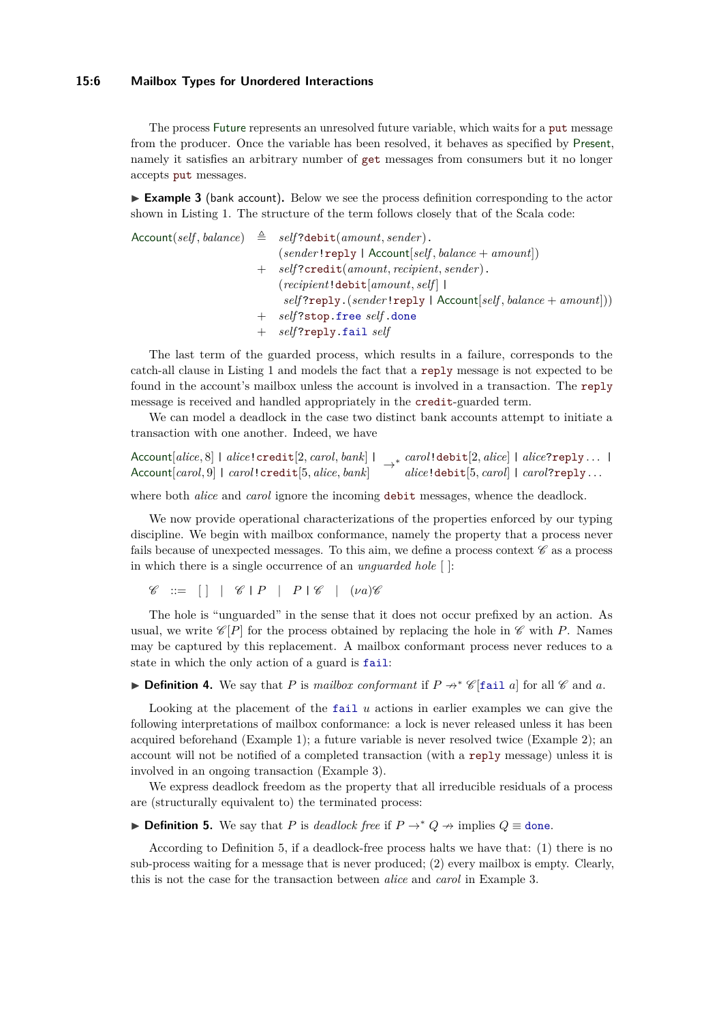#### **15:6 Mailbox Types for Unordered Interactions**

The process Future represents an unresolved future variable, which waits for a put message from the producer. Once the variable has been resolved, it behaves as specified by Present, namely it satisfies an arbitrary number of get messages from consumers but it no longer accepts put messages.

<span id="page-5-0"></span>► **Example 3** (bank account). Below we see the process definition corresponding to the actor shown in Listing [1.](#page-1-0) The structure of the term follows closely that of the Scala code:

 $\text{Account}(self, balance) \triangleq self? \text{debit}(amount, sender).$ (*sender*!reply | Account[*self , balance* + *amount*]) + *self* ?credit(*amount, recipient, sender*). (*recipient*!debit[*amount, self* ] | *self* ?reply.(*sender*!reply | Account[*self , balance* + *amount*])) + *self* ?stop.free *self* .done + *self* ?reply.fail *self*

The last term of the guarded process, which results in a failure, corresponds to the catch-all clause in Listing [1](#page-1-0) and models the fact that a reply message is not expected to be found in the account's mailbox unless the account is involved in a transaction. The reply message is received and handled appropriately in the credit-guarded term.

We can model a deadlock in the case two distinct bank accounts attempt to initiate a transaction with one another. Indeed, we have

Account[*alice,* 8] | *alice*!credit[2*, carol, bank*] |  $\textsf{Account}[alice,8]\text{ }| \text{ }alice!\text{ credit}[2, carol, bank]\text{ }| \rightarrow*\text{ }carol!\text{ debt}[2,alice]\text{ }| \text{ }alice?\texttt{reply} \dots\text{ }|\text{Account}[carol,9]\text{ }| \text{ }carol!\text{credit}[5,alice, bank]\text{ } \rightarrow*\text{ }alice!\text{ debt}[5, carol]\text{ }| \text{ }carol?\texttt{reply} \dots$ 

where both *alice* and *carol* ignore the incoming debit messages, whence the deadlock.

We now provide operational characterizations of the properties enforced by our typing discipline. We begin with mailbox conformance, namely the property that a process never fails because of unexpected messages. To this aim, we define a process context  $\mathscr C$  as a process in which there is a single occurrence of an *unguarded hole* [ ]:

 $\mathscr{C}$  ::=  $\begin{bmatrix} | & | & \mathscr{C} | P & | & P | \mathscr{C} & | & (\nu a) \mathscr{C} \end{bmatrix}$ 

The hole is "unguarded" in the sense that it does not occur prefixed by an action. As usual, we write  $\mathscr{C}[P]$  for the process obtained by replacing the hole in  $\mathscr{C}$  with *P*. Names may be captured by this replacement. A mailbox conformant process never reduces to a state in which the only action of a guard is fail:

<span id="page-5-2"></span>**▶ Definition 4.** We say that *P* is *mailbox conformant* if  $P \nightharpoonup^* \mathscr{C}$  [fail *a*] for all  $\mathscr{C}$  and *a*.

Looking at the placement of the fail *u* actions in earlier examples we can give the following interpretations of mailbox conformance: a lock is never released unless it has been acquired beforehand (Example [1\)](#page-4-0); a future variable is never resolved twice (Example [2\)](#page-4-1); an account will not be notified of a completed transaction (with a reply message) unless it is involved in an ongoing transaction (Example [3\)](#page-5-0).

We express deadlock freedom as the property that all irreducible residuals of a process are (structurally equivalent to) the terminated process:

<span id="page-5-1"></span>**► Definition 5.** We say that *P* is *deadlock free* if  $P \rightarrow^* Q \rightarrow$  implies  $Q \equiv$  done.

According to Definition [5,](#page-5-1) if a deadlock-free process halts we have that: (1) there is no sub-process waiting for a message that is never produced; (2) every mailbox is empty. Clearly, this is not the case for the transaction between *alice* and *carol* in Example [3.](#page-5-0)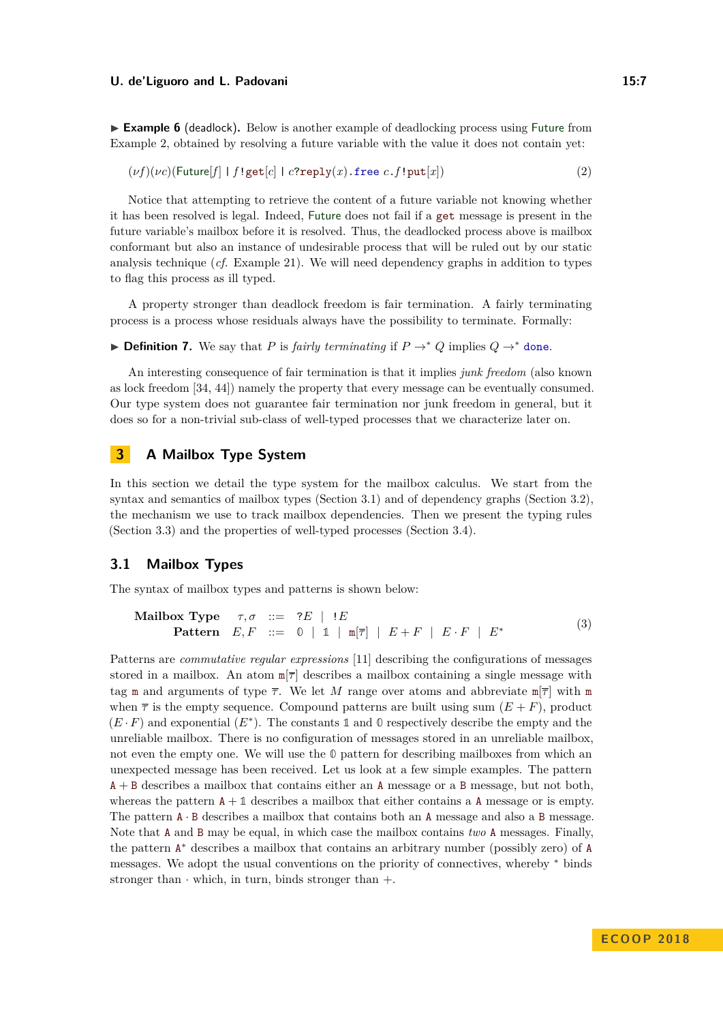<span id="page-6-3"></span>► **Example 6** (deadlock). Below is another example of deadlocking process using Future from Example [2,](#page-4-1) obtained by resolving a future variable with the value it does not contain yet:

<span id="page-6-2"></span> $(\nu f)(\nu c)$ (Future[*f*] | *f*!get[*c*] | *c*?reply(*x*).free *c*.*f*!put[*x*]) (2)

Notice that attempting to retrieve the content of a future variable not knowing whether it has been resolved is legal. Indeed, Future does not fail if a get message is present in the future variable's mailbox before it is resolved. Thus, the deadlocked process above is mailbox conformant but also an instance of undesirable process that will be ruled out by our static analysis technique (*cf.* Example [21\)](#page-15-1). We will need dependency graphs in addition to types to flag this process as ill typed.

A property stronger than deadlock freedom is fair termination. A fairly terminating process is a process whose residuals always have the possibility to terminate. Formally:

**▶ Definition 7.** We say that *P* is *fairly terminating* if  $P \rightarrow^* Q$  implies  $Q \rightarrow^*$  done.

An interesting consequence of fair termination is that it implies *junk freedom* (also known as lock freedom [\[34,](#page-26-8) [44\]](#page-27-9)) namely the property that every message can be eventually consumed. Our type system does not guarantee fair termination nor junk freedom in general, but it does so for a non-trivial sub-class of well-typed processes that we characterize later on.

# **3 A Mailbox Type System**

In this section we detail the type system for the mailbox calculus. We start from the syntax and semantics of mailbox types (Section [3.1\)](#page-6-0) and of dependency graphs (Section [3.2\)](#page-8-0), the mechanism we use to track mailbox dependencies. Then we present the typing rules (Section [3.3\)](#page-9-0) and the properties of well-typed processes (Section [3.4\)](#page-15-0).

### <span id="page-6-0"></span>**3.1 Mailbox Types**

The syntax of mailbox types and patterns is shown below:

<span id="page-6-1"></span>**Mailbox Type** 
$$
\tau, \sigma ::= ?E | !E
$$
  
\n**Pattern**  $E, F ::= 0 | 1 | m[\overline{\tau}] | E + F | E \cdot F | E^*$  (3)

Patterns are *commutative regular expressions* [\[11\]](#page-25-9) describing the configurations of messages stored in a mailbox. An atom  $\mathbb{F}$  describes a mailbox containing a single message with tag m and arguments of type  $\bar{\tau}$ . We let M range over atoms and abbreviate m $|\bar{\tau}|$  with m when  $\bar{\tau}$  is the empty sequence. Compound patterns are built using sum  $(E + F)$ , product  $(E \cdot F)$  and exponential  $(E^*)$ . The constants 1 and 0 respectively describe the empty and the unreliable mailbox. There is no configuration of messages stored in an unreliable mailbox, not even the empty one. We will use the **0** pattern for describing mailboxes from which an unexpected message has been received. Let us look at a few simple examples. The pattern  $A + B$  describes a mailbox that contains either an A message or a B message, but not both, whereas the pattern  $A + 1$  describes a mailbox that either contains a A message or is empty. The pattern  $A \cdot B$  describes a mailbox that contains both an A message and also a B message. Note that A and B may be equal, in which case the mailbox contains *two* A messages. Finally, the pattern A <sup>∗</sup> describes a mailbox that contains an arbitrary number (possibly zero) of A messages. We adopt the usual conventions on the priority of connectives, whereby <sup>∗</sup> binds stronger than  $\cdot$  which, in turn, binds stronger than  $+$ .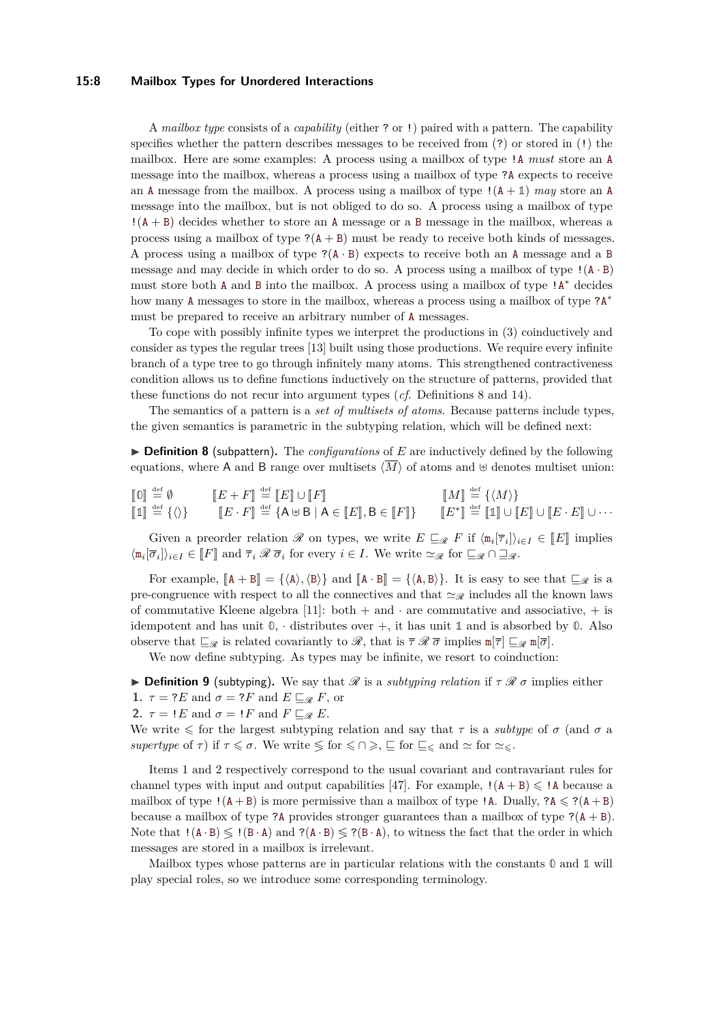#### **15:8 Mailbox Types for Unordered Interactions**

A *mailbox type* consists of a *capability* (either ? or !) paired with a pattern. The capability specifies whether the pattern describes messages to be received from (?) or stored in (!) the mailbox. Here are some examples: A process using a mailbox of type !A *must* store an A message into the mailbox, whereas a process using a mailbox of type ?A expects to receive an A message from the mailbox. A process using a mailbox of type !(A + **1**) *may* store an A message into the mailbox, but is not obliged to do so. A process using a mailbox of type  $!(A + B)$  decides whether to store an A message or a B message in the mailbox, whereas a process using a mailbox of type  $?$ ( $A + B$ ) must be ready to receive both kinds of messages. A process using a mailbox of type  $P(A \cdot B)$  expects to receive both an A message and a B message and may decide in which order to do so. A process using a mailbox of type  $!(A \cdot B)$ must store both A and B into the mailbox. A process using a mailbox of type !A<sup>\*</sup> decides how many A messages to store in the mailbox, whereas a process using a mailbox of type ?A<sup>\*</sup> must be prepared to receive an arbitrary number of A messages.

To cope with possibly infinite types we interpret the productions in [\(3\)](#page-6-1) coinductively and consider as types the regular trees [\[13\]](#page-25-10) built using those productions. We require every infinite branch of a type tree to go through infinitely many atoms. This strengthened contractiveness condition allows us to define functions inductively on the structure of patterns, provided that these functions do not recur into argument types (*cf.* Definitions [8](#page-7-0) and [14\)](#page-12-0).

The semantics of a pattern is a *set of multisets of atoms*. Because patterns include types, the given semantics is parametric in the subtyping relation, which will be defined next:

<span id="page-7-0"></span>▶ **Definition 8** (subpattern). The *configurations* of *E* are inductively defined by the following equations, where A and B range over multisets  $\langle \overline{M} \rangle$  of atoms and  $\uplus$  denotes multiset union:

$$
\begin{array}{llll}\n\begin{bmatrix}\n0\n\end{bmatrix} \stackrel{\text{def}}{=} \emptyset & \begin{bmatrix}\nE + F\n\end{bmatrix} \stackrel{\text{def}}{=} \begin{bmatrix}\nE\n\end{bmatrix} \cup \begin{bmatrix}\nF\n\end{bmatrix} & \begin{bmatrix}\nM\n\end{bmatrix} \stackrel{\text{def}}{=} \{\langle M \rangle\} \\
\begin{bmatrix}\n1\n\end{bmatrix} \stackrel{\text{def}}{=} \{\langle \rangle\} & \begin{bmatrix}\nE \cdot F\n\end{bmatrix} \stackrel{\text{def}}{=} \begin{bmatrix}\nA \oplus B \mid A \in \llbracket E \rrbracket, B \in \llbracket F \rrbracket\} & \begin{bmatrix}\nE^* \rrbracket \stackrel{\text{def}}{=} \llbracket 1 \rrbracket \cup \llbracket E \rrbracket \cup \llbracket E \cdot E \rrbracket \cup \cdots\n\end{bmatrix}\n\end{array}
$$

Given a preorder relation R on types, we write  $E \subseteq_R F$  if  $\langle m_i | \overline{\tau}_i \rangle_{i \in I} \in [E]$  implies  $\langle \mathfrak{m}_i[\overline{\sigma}_i] \rangle_{i \in I} \in [\![F]\!]$  and  $\overline{\tau}_i \mathscr{R} \overline{\sigma}_i$  for every  $i \in I$ . We write  $\simeq_{\mathscr{R}}$  for  $\square_{\mathscr{R}} \cap \square_{\mathscr{R}}$ .

For example,  $[A + B] = {\langle A \rangle, \langle B \rangle}$  and  $[A \cdot B] = {\langle A, B \rangle}$ . It is easy to see that  $\Box_{\mathscr{R}}$  is a pre-congruence with respect to all the connectives and that  $\approx_{\mathscr{R}}$  includes all the known laws of commutative Kleene algebra [\[11\]](#page-25-9): both  $+$  and  $\cdot$  are commutative and associative,  $+$  is idempotent and has unit  $\mathbb{0}$ , · distributes over  $+$ , it has unit  $\mathbb{1}$  and is absorbed by  $\mathbb{0}$ . Also observe that  $\sqsubseteq_{\mathscr{R}}$  is related covariantly to  $\mathscr{R}$ , that is  $\bar{\tau} \mathscr{R} \bar{\sigma}$  implies  $\mathbb{m}[\bar{\tau}] \sqsubseteq_{\mathscr{R}} \mathbb{m}[\bar{\sigma}]$ .

We now define subtyping. As types may be infinite, we resort to coinduction:

<span id="page-7-3"></span><span id="page-7-1"></span>**Definition 9** (subtyping). We say that  $\mathscr R$  is a *subtyping relation* if  $\tau \mathscr R \sigma$  implies either **1.**  $\tau = ?E$  and  $\sigma = ?F$  and  $E \sqsubseteq_{\mathscr{R}} F$ , or

<span id="page-7-2"></span>**2.**  $\tau = I E$  and  $\sigma = I F$  and  $F \sqsubseteq_{\mathcal{R}} E$ .

We write  $\leq$  for the largest subtyping relation and say that  $\tau$  is a *subtype* of  $\sigma$  (and  $\sigma$  a *supertype* of  $\tau$ ) if  $\tau \leq \sigma$ . We write  $\leq$  for  $\leq \cap \geq$ ,  $\subseteq$  for  $\subseteq \leq$  and  $\simeq$  for  $\sim \leq$ .

Items [1](#page-7-1) and [2](#page-7-2) respectively correspond to the usual covariant and contravariant rules for channel types with input and output capabilities [\[47\]](#page-27-10). For example,  $!(A + B) \leq R$  because a mailbox of type  $!(A + B)$  is more permissive than a mailbox of type  $'A$ . Dually,  $?A \leqslant ?(A + B)$ because a mailbox of type ?A provides stronger guarantees than a mailbox of type  $?({A + B})$ . Note that  $!(A \cdot B) \leq (B \cdot A)$  and  $?((A \cdot B) \leq (B \cdot A))$ , to witness the fact that the order in which messages are stored in a mailbox is irrelevant.

Mailbox types whose patterns are in particular relations with the constants **0** and **1** will play special roles, so we introduce some corresponding terminology.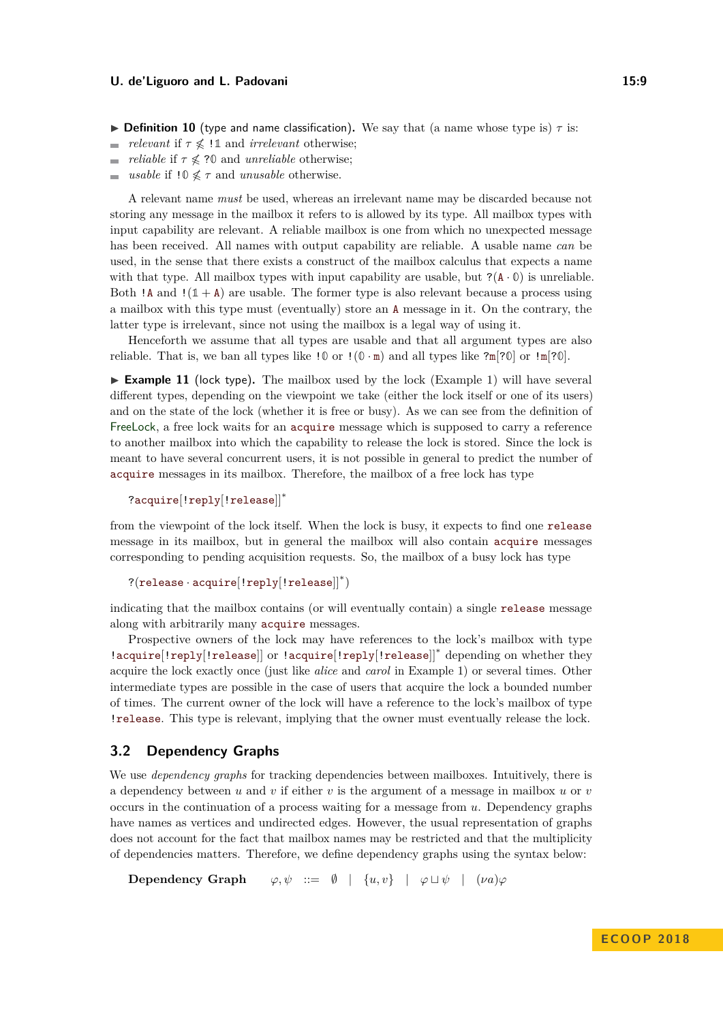- **Definition 10** (type and name classification). We say that (a name whose type is)  $\tau$  is:
- $\overline{\phantom{a}}$ *relevant* if  $\tau \nless 11$  and *irrelevant* otherwise;
- *reliable* if  $\tau \nless 30$  and *unreliable* otherwise;  $\sim$
- *usable* if  $10 \nless \tau$  and *unusable* otherwise.

A relevant name *must* be used, whereas an irrelevant name may be discarded because not storing any message in the mailbox it refers to is allowed by its type. All mailbox types with input capability are relevant. A reliable mailbox is one from which no unexpected message has been received. All names with output capability are reliable. A usable name *can* be used, in the sense that there exists a construct of the mailbox calculus that expects a name with that type. All mailbox types with input capability are usable, but  $?({A \cdot \emptyset})$  is unreliable. Both  $!A$  and  $!(1 + A)$  are usable. The former type is also relevant because a process using a mailbox with this type must (eventually) store an A message in it. On the contrary, the latter type is irrelevant, since not using the mailbox is a legal way of using it.

Henceforth we assume that all types are usable and that all argument types are also reliable. That is, we ban all types like  $\mathbf{10}$  or  $\mathbf{1}(\mathbf{0} \cdot \mathbf{m})$  and all types like  $2\mathbf{m}[2\mathbf{0}]$  or  $\mathbf{1}\mathbf{m}[2\mathbf{0}]$ .

<span id="page-8-1"></span> $\triangleright$  **Example 11** (lock type). The mailbox used by the lock (Example [1\)](#page-4-0) will have several different types, depending on the viewpoint we take (either the lock itself or one of its users) and on the state of the lock (whether it is free or busy). As we can see from the definition of FreeLock, a free lock waits for an acquire message which is supposed to carry a reference to another mailbox into which the capability to release the lock is stored. Since the lock is meant to have several concurrent users, it is not possible in general to predict the number of acquire messages in its mailbox. Therefore, the mailbox of a free lock has type

```
?acquire[!reply[!release]]∗
```
from the viewpoint of the lock itself. When the lock is busy, it expects to find one release message in its mailbox, but in general the mailbox will also contain acquire messages corresponding to pending acquisition requests. So, the mailbox of a busy lock has type

```
?(release · acquire[!reply[!release]]∗
)
```
indicating that the mailbox contains (or will eventually contain) a single release message along with arbitrarily many acquire messages.

Prospective owners of the lock may have references to the lock's mailbox with type !acquire[!reply[!release]] or !acquire[!reply[!release]]<sup>∗</sup> depending on whether they acquire the lock exactly once (just like *alice* and *carol* in Example [1\)](#page-4-0) or several times. Other intermediate types are possible in the case of users that acquire the lock a bounded number of times. The current owner of the lock will have a reference to the lock's mailbox of type !release. This type is relevant, implying that the owner must eventually release the lock.

# <span id="page-8-0"></span>**3.2 Dependency Graphs**

We use *dependency graphs* for tracking dependencies between mailboxes. Intuitively, there is a dependency between *u* and *v* if either *v* is the argument of a message in mailbox *u* or *v* occurs in the continuation of a process waiting for a message from *u*. Dependency graphs have names as vertices and undirected edges. However, the usual representation of graphs does not account for the fact that mailbox names may be restricted and that the multiplicity of dependencies matters. Therefore, we define dependency graphs using the syntax below:

**Dependency Graph**  $\varphi, \psi ::= \emptyset \mid \{u, v\} \mid \varphi \sqcup \psi \mid (\nu a)\varphi$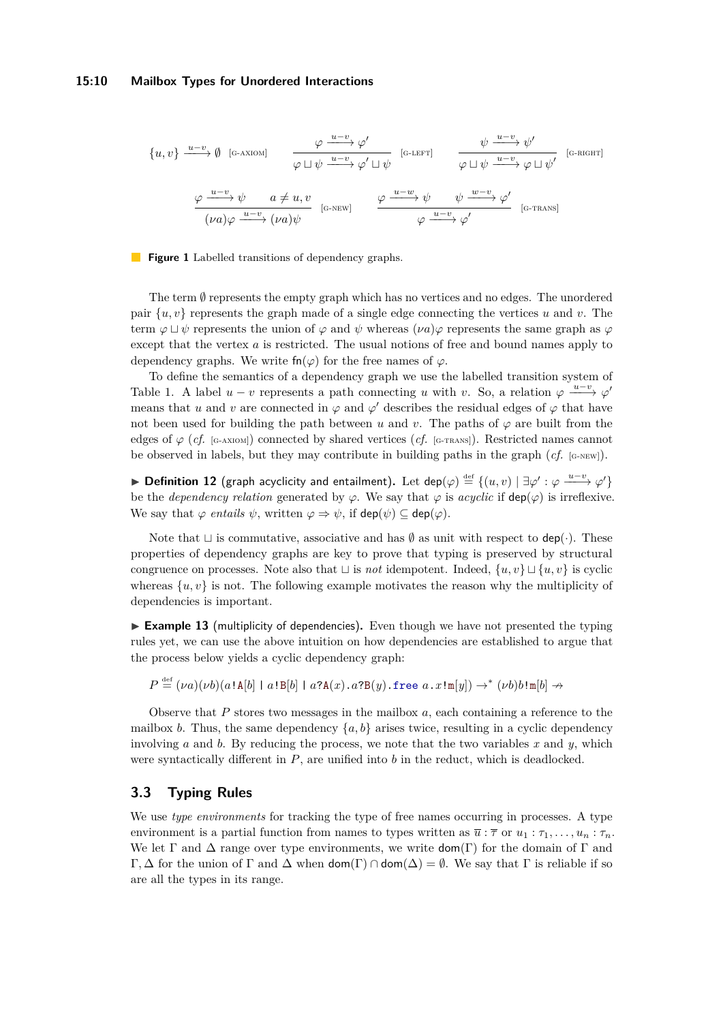#### **15:10 Mailbox Types for Unordered Interactions**

<span id="page-9-4"></span><span id="page-9-3"></span><span id="page-9-2"></span><span id="page-9-1"></span>
$$
\{u, v\} \xrightarrow{u-v} \emptyset \text{ [G-AXIOM]} \xrightarrow{\varphi \xrightarrow{u-v} \varphi'} \varphi' \sqcup \psi \xrightarrow{[G-LEFT]} \xrightarrow{\psi \xrightarrow{u-v} \psi'} \varphi \sqcup \psi'
$$
 [G-RIGHT]  

$$
\xrightarrow{\varphi \xrightarrow{u-v} \psi} a \neq u, v \xrightarrow{[G-NEW]} \xrightarrow{\varphi \xrightarrow{u-w} \psi} \psi \xrightarrow{\psi \xrightarrow{w-v} \varphi'} \varphi \sqcup \psi'
$$
 [G-RIGHT]  

$$
\xrightarrow{(\nu a)\varphi \xrightarrow{u-v} (\nu a)\psi} \text{[G-NEW]} \xrightarrow{\varphi \xrightarrow{u-v} \psi} \psi' \xrightarrow{[G-TRANS]}
$$

**Figure 1** Labelled transitions of dependency graphs.

The term  $\emptyset$  represents the empty graph which has no vertices and no edges. The unordered pair  $\{u, v\}$  represents the graph made of a single edge connecting the vertices *u* and *v*. The term  $\varphi \sqcup \psi$  represents the union of  $\varphi$  and  $\psi$  whereas  $(\nu a)\varphi$  represents the same graph as  $\varphi$ except that the vertex *a* is restricted. The usual notions of free and bound names apply to dependency graphs. We write  $fn(\varphi)$  for the free names of  $\varphi$ .

To define the semantics of a dependency graph we use the labelled transition system of Table [1.](#page-9-1) A label  $u - v$  represents a path connecting *u* with *v*. So, a relation  $\varphi \xrightarrow{u-v} \varphi'$ means that *u* and *v* are connected in  $\varphi$  and  $\varphi'$  describes the residual edges of  $\varphi$  that have not been used for building the path between *u* and *v*. The paths of  $\varphi$  are built from the edges of  $\varphi$  (*cf.* [G-AXIOM]) connected by shared vertices (*cf.* [G-TRANS]). Restricted names cannot be observed in labels, but they may contribute in building paths in the graph  $(cf.$  [G-NEW]).

**► Definition 12** (graph acyclicity and entailment). Let dep( $\varphi$ )  $\stackrel{\text{def}}{=} \{(u, v) \mid \exists \varphi' : \varphi \xrightarrow{u-v} \varphi'\}$ be the *dependency relation* generated by  $\varphi$ . We say that  $\varphi$  is *acyclic* if  $\text{dep}(\varphi)$  is irreflexive. We say that  $\varphi$  *entails*  $\psi$ , written  $\varphi \Rightarrow \psi$ , if dep( $\psi$ )  $\subseteq$  dep( $\varphi$ ).

Note that  $\sqcup$  is commutative, associative and has  $\emptyset$  as unit with respect to dep(·). These properties of dependency graphs are key to prove that typing is preserved by structural congruence on processes. Note also that  $\Box$  is *not* idempotent. Indeed,  $\{u, v\} \Box \{u, v\}$  is cyclic whereas  $\{u, v\}$  is not. The following example motivates the reason why the multiplicity of dependencies is important.

<span id="page-9-5"></span>► **Example 13** (multiplicity of dependencies). Even though we have not presented the typing rules yet, we can use the above intuition on how dependencies are established to argue that the process below yields a cyclic dependency graph:

 $P \stackrel{\text{def}}{=} (\nu a)(\nu b)(a!A[b] \mid a!B[b] \mid a?A(x).a?B(y).$ free  $a \cdot x!m[y]) \rightarrow^* (\nu b)b!m[b] \rightarrow^*$ 

Observe that *P* stores two messages in the mailbox *a*, each containing a reference to the mailbox *b*. Thus, the same dependency  $\{a, b\}$  arises twice, resulting in a cyclic dependency involving *a* and *b*. By reducing the process, we note that the two variables *x* and *y*, which were syntactically different in *P*, are unified into *b* in the reduct, which is deadlocked.

# <span id="page-9-0"></span>**3.3 Typing Rules**

We use *type environments* for tracking the type of free names occurring in processes. A type environment is a partial function from names to types written as  $\overline{u}$  :  $\overline{\tau}$  or  $u_1$  :  $\tau_1, \ldots, u_n$  :  $\tau_n$ . We let  $\Gamma$  and  $\Delta$  range over type environments, we write  $\text{dom}(\Gamma)$  for the domain of  $\Gamma$  and Γ, Δ for the union of Γ and Δ when  $dom(Γ) ∩ dom(Δ) = ∅$ . We say that Γ is reliable if so are all the types in its range.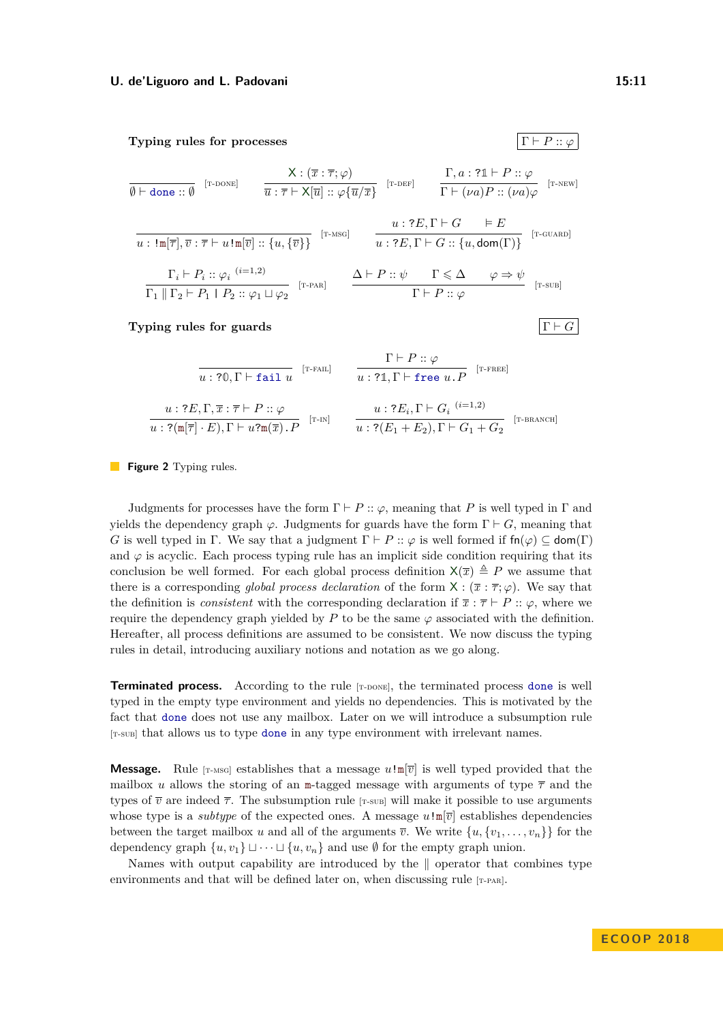<span id="page-10-11"></span>**Typing rules for processes**  $\Gamma \vdash P :: \varphi$ 

<span id="page-10-9"></span><span id="page-10-8"></span><span id="page-10-2"></span><span id="page-10-0"></span>
$$
\frac{\mathsf{X}: (\overline{x} : \overline{\tau}; \varphi)}{\emptyset \vdash \text{done} :: \emptyset} \qquad \frac{\mathsf{X}: (\overline{x} : \overline{\tau}; \varphi)}{\overline{u} : \overline{\tau} \vdash \mathsf{X}[\overline{u}] :: \varphi\{\overline{u}/\overline{x}\}} \qquad [\text{r-DEF}] \qquad \frac{\Gamma, a : ?\mathbb{1} \vdash P :: \varphi}{\Gamma \vdash (\nu a)P :: (\nu a)\varphi} \qquad [\text{r-NEW}]
$$
\n
$$
\frac{u : !\mathbb{m}[\overline{\tau}], \overline{v} : \overline{\tau} \vdash u! \mathbb{m}[\overline{v}] :: \{u, \{\overline{v}\}\} \qquad [n\text{-NSG}] \qquad u : ?E, \Gamma \vdash G \qquad \overline{\vdash E}
$$
\n
$$
\frac{u : ?E, \Gamma \vdash G \qquad \overline{\vdash E}
$$
\n
$$
\frac{\Gamma_i \vdash P_i :: \varphi_i \quad (i=1,2)}{\Gamma_1 \parallel \Gamma_2 \vdash P_1 \parallel P_2 :: \varphi_1 \sqcup \varphi_2} \qquad [\text{r-PAR}] \qquad \frac{\Delta \vdash P :: \psi \qquad \Gamma \leq \Delta \qquad \varphi \Rightarrow \psi}{\Gamma \vdash P :: \varphi} \qquad [\text{r-sub}]}
$$
\n
$$
\text{Typing rules for guards} \qquad \qquad \boxed{\Gamma \vdash G}
$$

<span id="page-10-10"></span><span id="page-10-7"></span><span id="page-10-6"></span><span id="page-10-5"></span><span id="page-10-4"></span><span id="page-10-3"></span><span id="page-10-1"></span>
$$
\frac{\Gamma \vdash P :: \varphi}{u : ?0, \Gamma \vdash \mathtt{fail} \ u} \quad \frac{\Gamma \vdash P :: \varphi}{u : ?1, \Gamma \vdash \mathtt{free} \ u . P} \quad \text{[T-FREE]} \\
\frac{u : ?E, \Gamma, \overline{x} : \overline{\tau} \vdash P :: \varphi}{u : ?(\mathbb{m}[\overline{\tau}] \cdot E), \Gamma \vdash u \cdot \mathbb{m}(\overline{x}) . P} \quad \frac{u : ?E_i, \Gamma \vdash G_i \; (^{i=1,2})}{u : ?(E_1 + E_2), \Gamma \vdash G_1 + G_2} \quad \text{[T-BRANCH]}
$$

**Figure 2** Typing rules.

Judgments for processes have the form  $\Gamma \vdash P :: \varphi$ , meaning that *P* is well typed in  $\Gamma$  and yields the dependency graph  $\varphi$ . Judgments for guards have the form  $\Gamma \vdash G$ , meaning that *G* is well typed in Γ. We say that a judgment  $\Gamma \vdash P :: \varphi$  is well formed if  $fn(\varphi) \subseteq dom(\Gamma)$ and  $\varphi$  is acyclic. Each process typing rule has an implicit side condition requiring that its conclusion be well formed. For each global process definition  $X(\bar{x}) \triangleq P$  we assume that there is a corresponding *global process declaration* of the form  $X : (\bar{x} : \bar{\tau}; \varphi)$ . We say that the definition is *consistent* with the corresponding declaration if  $\bar{x}$ :  $\bar{\tau} \vdash P$  ::  $\varphi$ , where we require the dependency graph yielded by  $P$  to be the same  $\varphi$  associated with the definition. Hereafter, all process definitions are assumed to be consistent. We now discuss the typing rules in detail, introducing auxiliary notions and notation as we go along.

**Terminated process.** According to the rule [T-DONE], the terminated process done is well typed in the empty type environment and yields no dependencies. This is motivated by the fact that done does not use any mailbox. Later on we will introduce a subsumption rule [[t-sub](#page-10-1)] that allows us to type done in any type environment with irrelevant names.

**Message.** Rule [T-MSG] establishes that a message  $u \cdot m[\overline{v}]$  is well typed provided that the mailbox *u* allows the storing of an m-tagged message with arguments of type  $\bar{\tau}$  and the types of  $\overline{v}$  are indeed  $\overline{\tau}$ . The subsumption rule [T-sub] will make it possible to use arguments whose type is a *subtype* of the expected ones. A message  $u \cdot m[\overline{v}]$  establishes dependencies between the target mailbox *u* and all of the arguments  $\overline{v}$ . We write  $\{u, \{v_1, \ldots, v_n\}\}\$ for the dependency graph  $\{u, v_1\} \sqcup \cdots \sqcup \{u, v_n\}$  and use  $\emptyset$  for the empty graph union.

Names with output capability are introduced by the  $\parallel$  operator that combines type environments and that will be defined later on, when discussing rule [T-PAR].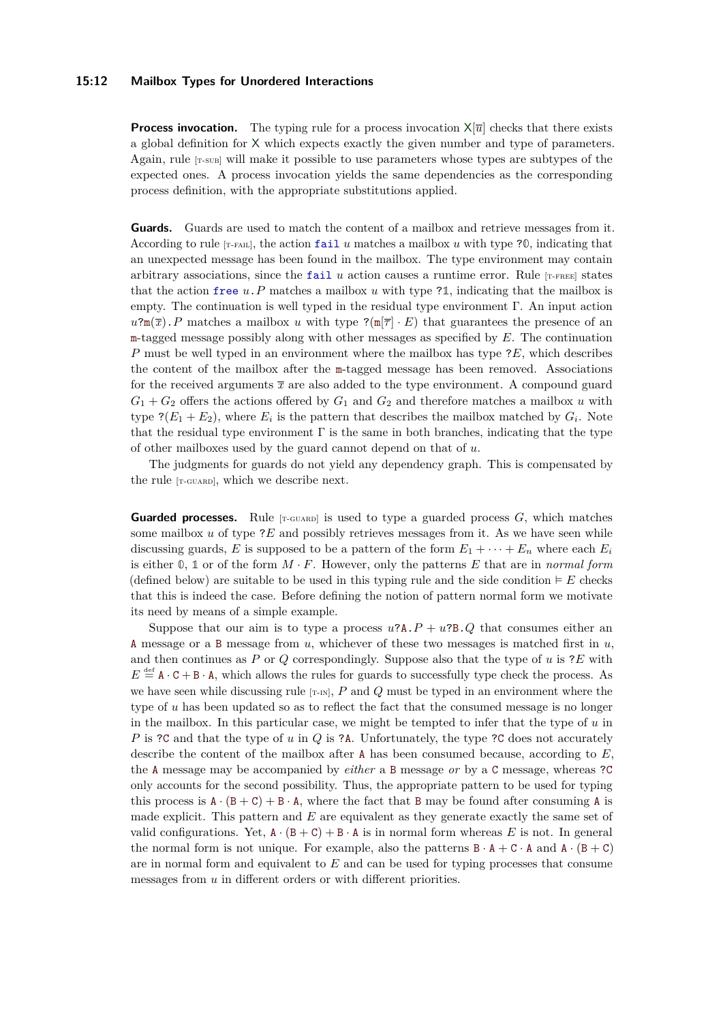#### **15:12 Mailbox Types for Unordered Interactions**

**Process invocation.** The typing rule for a process invocation  $X[\overline{u}]$  checks that there exists a global definition for X which expects exactly the given number and type of parameters. Again, rule [[t-sub](#page-10-1)] will make it possible to use parameters whose types are subtypes of the expected ones. A process invocation yields the same dependencies as the corresponding process definition, with the appropriate substitutions applied.

**Guards.** Guards are used to match the content of a mailbox and retrieve messages from it. According to rule  $[T-FAIL]$ , the action fail *u* matches a mailbox *u* with type ?0, indicating that an unexpected message has been found in the mailbox. The type environment may contain arbitrary associations, since the fail  $u$  action causes a runtime error. Rule  $[r$ - $F_{\text{REE}}]$  states that the action free *u*.*P* matches a mailbox *u* with type ?**1**, indicating that the mailbox is empty. The continuation is well typed in the residual type environment Γ. An input action  $u^2m(\overline{x})$ . *P* matches a mailbox *u* with type  $?(\overline{n}|\overline{\tau}) \cdot E)$  that guarantees the presence of an m-tagged message possibly along with other messages as specified by *E*. The continuation *P* must be well typed in an environment where the mailbox has type ?*E*, which describes the content of the mailbox after the m-tagged message has been removed. Associations for the received arguments  $\bar{x}$  are also added to the type environment. A compound guard  $G_1 + G_2$  offers the actions offered by  $G_1$  and  $G_2$  and therefore matches a mailbox *u* with type  $? (E_1 + E_2)$ , where  $E_i$  is the pattern that describes the mailbox matched by  $G_i$ . Note that the residual type environment  $\Gamma$  is the same in both branches, indicating that the type of other mailboxes used by the guard cannot depend on that of *u*.

The judgments for guards do not yield any dependency graph. This is compensated by the rule [T-GUARD], which we describe next.

**Guarded processes.** Rule  $[r\text{-}Gurab]$  is used to type a guarded process  $G$ , which matches some mailbox  $u$  of type  $\mathcal{E}$  and possibly retrieves messages from it. As we have seen while discussing guards, *E* is supposed to be a pattern of the form  $E_1 + \cdots + E_n$  where each  $E_i$ is either **0**, **1** or of the form *M* · *F*. However, only the patterns *E* that are in *normal form* (defined below) are suitable to be used in this typing rule and the side condition  $\vdash E$  checks that this is indeed the case. Before defining the notion of pattern normal form we motivate its need by means of a simple example.

Suppose that our aim is to type a process  $u$ ?A. $P + u$ ?B. $Q$  that consumes either an A message or a B message from *u*, whichever of these two messages is matched first in *u*, and then continues as *P* or *Q* correspondingly. Suppose also that the type of *u* is ?*E* with  $E \stackrel{\text{def}}{=} A \cdot C + B \cdot A$ , which allows the rules for guards to successfully type check the process. As we have seen while discussing rule  $[r-m]$ ,  $P$  and  $Q$  must be typed in an environment where the type of *u* has been updated so as to reflect the fact that the consumed message is no longer in the mailbox. In this particular case, we might be tempted to infer that the type of *u* in *P* is ?C and that the type of *u* in *Q* is ?A. Unfortunately, the type ?C does not accurately describe the content of the mailbox after A has been consumed because, according to *E*, the A message may be accompanied by *either* a B message *or* by a C message, whereas ?C only accounts for the second possibility. Thus, the appropriate pattern to be used for typing this process is  $A \cdot (B + C) + B \cdot A$ , where the fact that B may be found after consuming A is made explicit. This pattern and *E* are equivalent as they generate exactly the same set of valid configurations. Yet,  $A \cdot (B + C) + B \cdot A$  is in normal form whereas E is not. In general the normal form is not unique. For example, also the patterns  $B \cdot A + C \cdot A$  and  $A \cdot (B + C)$ are in normal form and equivalent to *E* and can be used for typing processes that consume messages from *u* in different orders or with different priorities.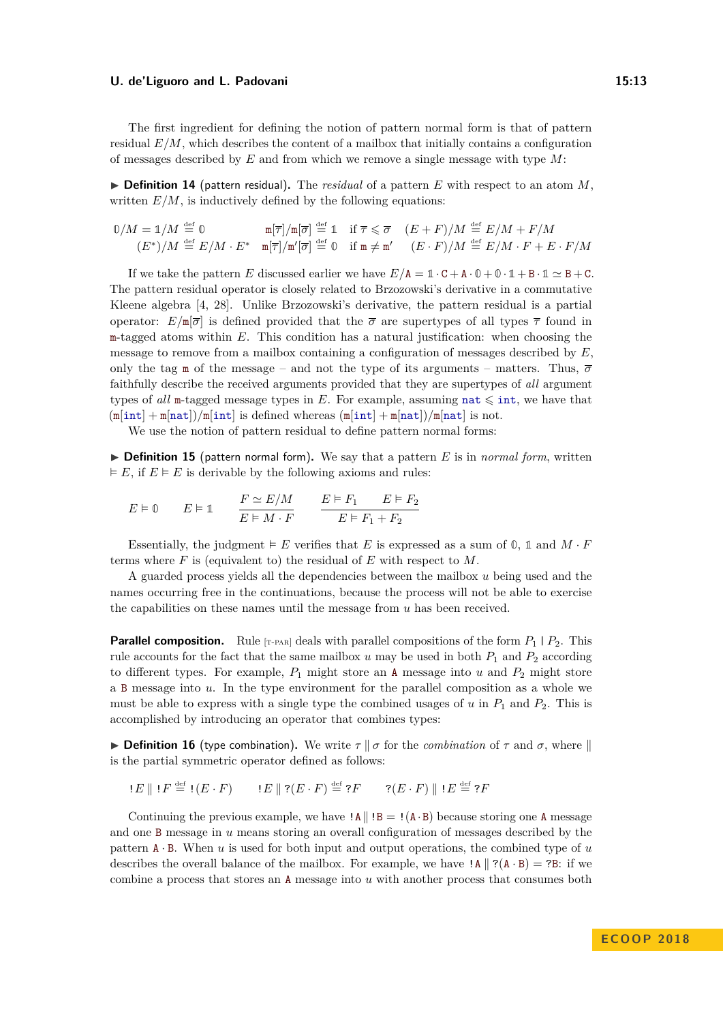The first ingredient for defining the notion of pattern normal form is that of pattern residual  $E/M$ , which describes the content of a mailbox that initially contains a configuration of messages described by *E* and from which we remove a single message with type *M*:

<span id="page-12-0"></span> $\triangleright$  **Definition 14** (pattern residual). The *residual* of a pattern *E* with respect to an atom *M*, written  $E/M$ , is inductively defined by the following equations:

$$
\begin{array}{ccc}\n0/M = \mathbb{1}/M \stackrel{\text{def}}{=} \mathbb{0} & \mathbb{m}[\overline{\tau}]/\mathbb{m}[\overline{\sigma}] \stackrel{\text{def}}{=} \mathbb{1} & \text{if } \overline{\tau} \leqslant \overline{\sigma} \\
(E^*)/M \stackrel{\text{def}}{=} E/M \cdot E^* & \mathbb{m}[\overline{\tau}]/\mathbb{m}'[\overline{\sigma}] \stackrel{\text{def}}{=} \mathbb{0} & \text{if } \mathbb{m} \neq \mathbb{m}' \\
(E \cdot F)/M \stackrel{\text{def}}{=} E/M \cdot F + E \cdot F/M\n\end{array}
$$

If we take the pattern *E* discussed earlier we have  $E/A = \mathbb{1} \cdot C + A \cdot \mathbb{0} + \mathbb{0} \cdot \mathbb{1} + B \cdot \mathbb{1} \simeq B + C$ . The pattern residual operator is closely related to Brzozowski's derivative in a commutative Kleene algebra [\[4,](#page-25-11) [28\]](#page-26-9). Unlike Brzozowski's derivative, the pattern residual is a partial operator:  $E/\mathbb{m}[\bar{\sigma}]$  is defined provided that the  $\bar{\sigma}$  are supertypes of all types  $\bar{\tau}$  found in m-tagged atoms within *E*. This condition has a natural justification: when choosing the message to remove from a mailbox containing a configuration of messages described by *E*, only the tag m of the message – and not the type of its arguments – matters. Thus,  $\overline{\sigma}$ faithfully describe the received arguments provided that they are supertypes of *all* argument types of *all* m-tagged message types in *E*. For example, assuming nat  $\leq$  int, we have that  $(\text{min} + \text{min} + \text{min})/\text{min}$  is defined whereas  $(\text{min} + \text{min} + \text{min} + \text{min})/\text{min}$  is not.

We use the notion of pattern residual to define pattern normal forms:

 $\triangleright$  **Definition 15** (pattern normal form). We say that a pattern *E* is in *normal form*, written  $E, \text{ if } E \models E \text{ is derivable by the following axioms and rules:}$ 

$$
E \vDash \mathbb{0} \qquad E \vDash \mathbb{1} \qquad \frac{F \simeq E/M}{E \vDash M \cdot F} \qquad \frac{E \vDash F_1 \qquad E \vDash F_2}{E \vDash F_1 + F_2}
$$

Essentially, the judgment  $\models E$  verifies that *E* is expressed as a sum of  $\emptyset$ , 1 and  $M \cdot F$ terms where *F* is (equivalent to) the residual of *E* with respect to *M*.

A guarded process yields all the dependencies between the mailbox *u* being used and the names occurring free in the continuations, because the process will not be able to exercise the capabilities on these names until the message from *u* has been received.

**Parallel composition.** Rule  $[r$ -paral deals with parallel compositions of the form  $P_1 \nvert P_2$ . This rule accounts for the fact that the same mailbox  $u$  may be used in both  $P_1$  and  $P_2$  according to different types. For example,  $P_1$  might store an A message into  $u$  and  $P_2$  might store a B message into *u*. In the type environment for the parallel composition as a whole we must be able to express with a single type the combined usages of  $u$  in  $P_1$  and  $P_2$ . This is accomplished by introducing an operator that combines types:

**Definition 16** (type combination). We write  $\tau \parallel \sigma$  for the *combination* of  $\tau$  and  $\sigma$ , where  $\parallel$ is the partial symmetric operator defined as follows:

$$
E \parallel !F \stackrel{\text{def}}{=} !(E \cdot F) \qquad !E \parallel ?(E \cdot F) \stackrel{\text{def}}{=} ?F \qquad ?(E \cdot F) \parallel !E \stackrel{\text{def}}{=} ?F
$$

Continuing the previous example, we have  $|A||B = |(A \cdot B)$  because storing one A message and one B message in *u* means storing an overall configuration of messages described by the pattern A · B. When *u* is used for both input and output operations, the combined type of *u* describes the overall balance of the mailbox. For example, we have  $|\mathbf{A}|| \mathbf{?} (\mathbf{A} \cdot \mathbf{B}) = ?\mathbf{B}$ : if we combine a process that stores an A message into *u* with another process that consumes both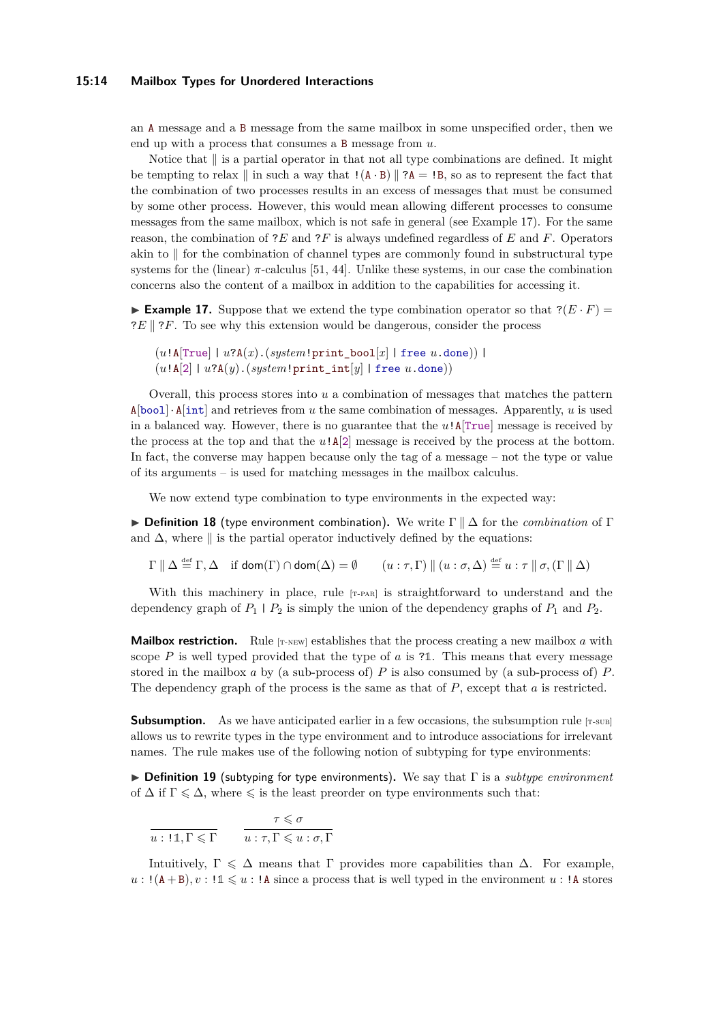#### **15:14 Mailbox Types for Unordered Interactions**

an A message and a B message from the same mailbox in some unspecified order, then we end up with a process that consumes a B message from *u*.

Notice that  $\parallel$  is a partial operator in that not all type combinations are defined. It might be tempting to relax  $\|$  in such a way that  $((A \cdot B) \| ? A = !B$ , so as to represent the fact that the combination of two processes results in an excess of messages that must be consumed by some other process. However, this would mean allowing different processes to consume messages from the same mailbox, which is not safe in general (see Example [17\)](#page-13-0). For the same reason, the combination of ?*E* and ?*F* is always undefined regardless of *E* and *F*. Operators akin to  $\parallel$  for the combination of channel types are commonly found in substructural type systems for the (linear) *π*-calculus [\[51,](#page-27-8) [44\]](#page-27-9). Unlike these systems, in our case the combination concerns also the content of a mailbox in addition to the capabilities for accessing it.

<span id="page-13-0"></span>**Example 17.** Suppose that we extend the type combination operator so that  $?(\mathbf{E} \cdot \mathbf{F}) =$ ?*E* || ?*F*. To see why this extension would be dangerous, consider the process

```
(u!A[True] | u?A(x).(system!print_bool[x] | free u.done)) |
(u!A[2] | u?A(y).(system!print_int[y] | free u.done))
```
Overall, this process stores into *u* a combination of messages that matches the pattern  $A[bool] \cdot A[int]$  and retrieves from *u* the same combination of messages. Apparently, *u* is used in a balanced way. However, there is no guarantee that the *u*!A[True] message is received by the process at the top and that the  $u\cdot A[2]$  message is received by the process at the bottom. In fact, the converse may happen because only the tag of a message – not the type or value of its arguments – is used for matching messages in the mailbox calculus.

We now extend type combination to type environments in the expected way:

<span id="page-13-1"></span> $\triangleright$  **Definition 18** (type environment combination). We write Γ  $\parallel \Delta$  for the *combination* of Γ and  $\Delta$ , where  $\parallel$  is the partial operator inductively defined by the equations:

$$
\Gamma \parallel \Delta \stackrel{\text{def}}{=} \Gamma, \Delta \quad \text{if } \text{dom}(\Gamma) \cap \text{dom}(\Delta) = \emptyset \qquad (u: \tau, \Gamma) \parallel (u: \sigma, \Delta) \stackrel{\text{def}}{=} u: \tau \parallel \sigma, (\Gamma \parallel \Delta)
$$

With this machinery in place, rule [T-PAR] is straightforward to understand and the dependency graph of  $P_1 \mid P_2$  is simply the union of the dependency graphs of  $P_1$  and  $P_2$ .

**Mailbox restriction.** Rule  $[r\text{-new}]$  establishes that the process creating a new mailbox  $a$  with scope  $P$  is well typed provided that the type of  $a$  is ?1. This means that every message stored in the mailbox *a* by (a sub-process of)  $P$  is also consumed by (a sub-process of)  $P$ . The dependency graph of the process is the same as that of *P*, except that *a* is restricted.

**Subsumption.** As we have anticipated earlier in a few occasions, the subsumption rule [T-SUB] allows us to rewrite types in the type environment and to introduce associations for irrelevant names. The rule makes use of the following notion of subtyping for type environments:

I **Definition 19** (subtyping for type environments)**.** We say that Γ is a *subtype environment* of  $\Delta$  if  $\Gamma \leq \Delta$ , where  $\leq$  is the least preorder on type environments such that:

 $u: \mathbb{11}, \Gamma \leqslant \Gamma$ *τ*  $\leq$  *σ*  $u : \tau, \Gamma \leqslant u : \sigma, \Gamma$ 

Intuitively,  $\Gamma \leq \Delta$  means that Γ provides more capabilities than  $\Delta$ . For example,  $u : (A + B), v : \mathbb{1} \leq u : A$  since a process that is well typed in the environment  $u : A$  stores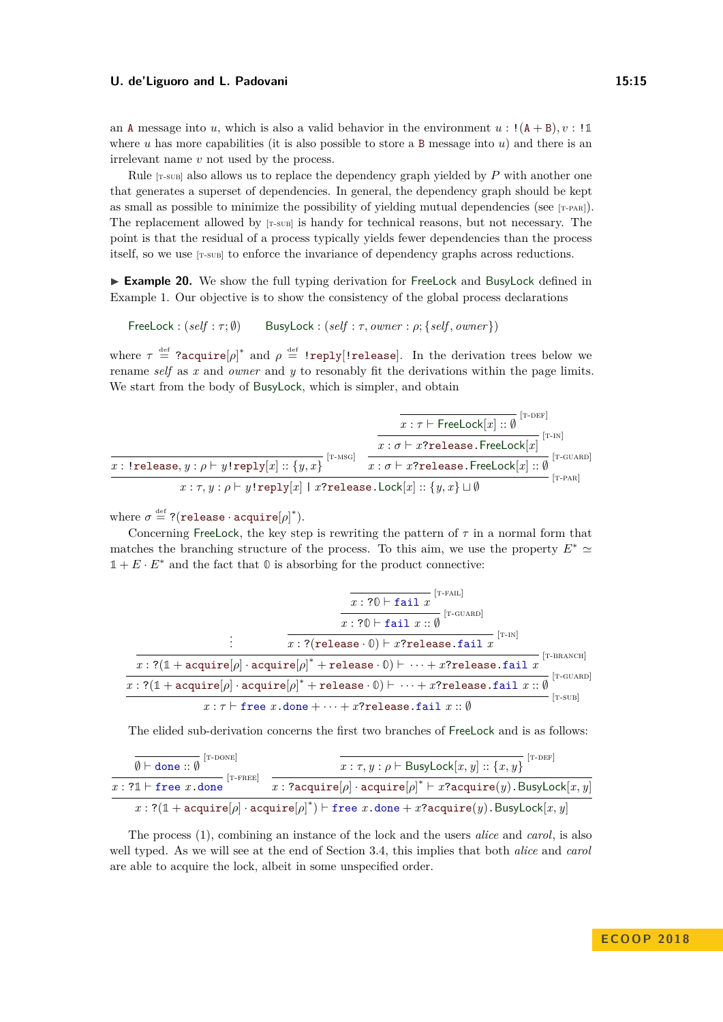an A message into *u*, which is also a valid behavior in the environment  $u : (A + B)$ ,  $v : \mathbb{1}$ where  $u$  has more capabilities (it is also possible to store a B message into  $u$ ) and there is an irrelevant name *v* not used by the process.

Rule  $[x-sus]$  also allows us to replace the dependency graph yielded by  $P$  with another one that generates a superset of dependencies. In general, the dependency graph should be kept as small as possible to minimize the possibility of yielding mutual dependencies (see  $[r-PAB]$ ). The replacement allowed by  $[r\text{-}s\text{-}vs]$  is handy for technical reasons, but not necessary. The point is that the residual of a process typically yields fewer dependencies than the process itself, so we use [T-SUB] to enforce the invariance of dependency graphs across reductions.

<span id="page-14-0"></span>► **Example 20.** We show the full typing derivation for FreeLock and BusyLock defined in Example [1.](#page-4-0) Our objective is to show the consistency of the global process declarations

 $FreeLock : (self : \tau; \emptyset)$  BusyLock :  $(self : \tau, owner : \rho; \{self, owner\})$ 

where  $\tau \stackrel{\text{def}}{=}$  ?acquire $[\rho]^*$  and  $\rho \stackrel{\text{def}}{=}$  !reply[!release]. In the derivation trees below we rename *self* as *x* and *owner* and *y* to resonably fit the derivations within the page limits. We start from the body of BusyLock, which is simpler, and obtain

|                                                                                             | T-DEF<br>$x : \tau \vdash \mathsf{FreeLock}[x] :: \emptyset$                      |
|---------------------------------------------------------------------------------------------|-----------------------------------------------------------------------------------|
|                                                                                             | T-IN <br>$x : \sigma \vdash x$ ?release.FreeLock[x]                               |
| $T-MSG$<br>x: !release, $y : \rho \vdash y!$ reply $[x] :: \{y, x\}$                        | $T-CUARD$<br>$\overline{x : \sigma \vdash x?$ release.FreeLock $[x] :: \emptyset$ |
| $x:\tau, y:\rho \vdash y!$ reply $[x]$   x?release.Lock $[x]$ :: $\{y,x\} \sqcup \emptyset$ | $T-PAR$                                                                           |

where  $\sigma \stackrel{\text{def}}{=} ?(\texttt{release} \cdot \texttt{acquire}[\rho]^*).$ 

Concerning FreeLock, the key step is rewriting the pattern of  $\tau$  in a normal form that matches the branching structure of the process. To this aim, we use the property  $E^* \simeq$  $1 + E \cdot E^*$  and the fact that  $\mathbb{O}$  is absorbing for the product connective:

| T-FAIL<br>$x: ?0 \vdash \mathtt{fail}\ x$                                                                                                                                    |  |  |
|------------------------------------------------------------------------------------------------------------------------------------------------------------------------------|--|--|
| $\overline{x: ?0 \vdash \mathtt{fail} x :: \emptyset}$ <sup>[T-GUARD]</sup>                                                                                                  |  |  |
| $ T-IN $<br>$x: ?(\mathtt{release} \cdot \mathbb{0}) \vdash x? \mathtt{release}.\mathtt{fail}~x$                                                                             |  |  |
| T-BRANCH<br>$x: ?(\mathbb{1} + \text{acquire}[\rho] \cdot \text{acquire}[\rho]^* + \text{release} \cdot \mathbb{0}) \vdash \cdots + x? \text{release} \cdot \text{fail} \ x$ |  |  |
| $T-CUARD$<br>$x:?(\mathbb{1}+\text{acquire}[\rho]\cdot \text{acquire}[\rho]^*+\text{release}\cdot \mathbb{0}) \vdash \cdots + x? \text{release.fail } x::\emptyset$          |  |  |
| [T-SUB]<br>$x: \tau \vdash$ free x.done $+ \cdots + x$ ?release.fail $x: \emptyset$                                                                                          |  |  |

The elided sub-derivation concerns the first two branches of FreeLock and is as follows:

| $\theta \vdash$ done :: $\emptyset$ [T-DONE]                                                                                                   | $ T-DEF $<br>$x:\tau, y:\rho \vdash \textsf{BusyLock}[x, y] :: \{x, y\}$          |  |
|------------------------------------------------------------------------------------------------------------------------------------------------|-----------------------------------------------------------------------------------|--|
| T-FREE<br>$x: ?1 \vdash$ free x.done                                                                                                           | x: ?acquire[ $\rho$ ] · acquire[ $\rho$ ]* $\vdash x$ ?acquire(y). BusyLock[x, y] |  |
| $x: ?(\mathbb{1} + \text{acquire}[\rho] \cdot \text{acquire}[\rho]^*) \vdash$ free $x.\text{done} + x?\text{acquire}(y).\text{BusyLock}[x, y]$ |                                                                                   |  |

The process [\(1\)](#page-4-2), combining an instance of the lock and the users *alice* and *carol*, is also well typed. As we will see at the end of Section [3.4,](#page-15-0) this implies that both *alice* and *carol* are able to acquire the lock, albeit in some unspecified order.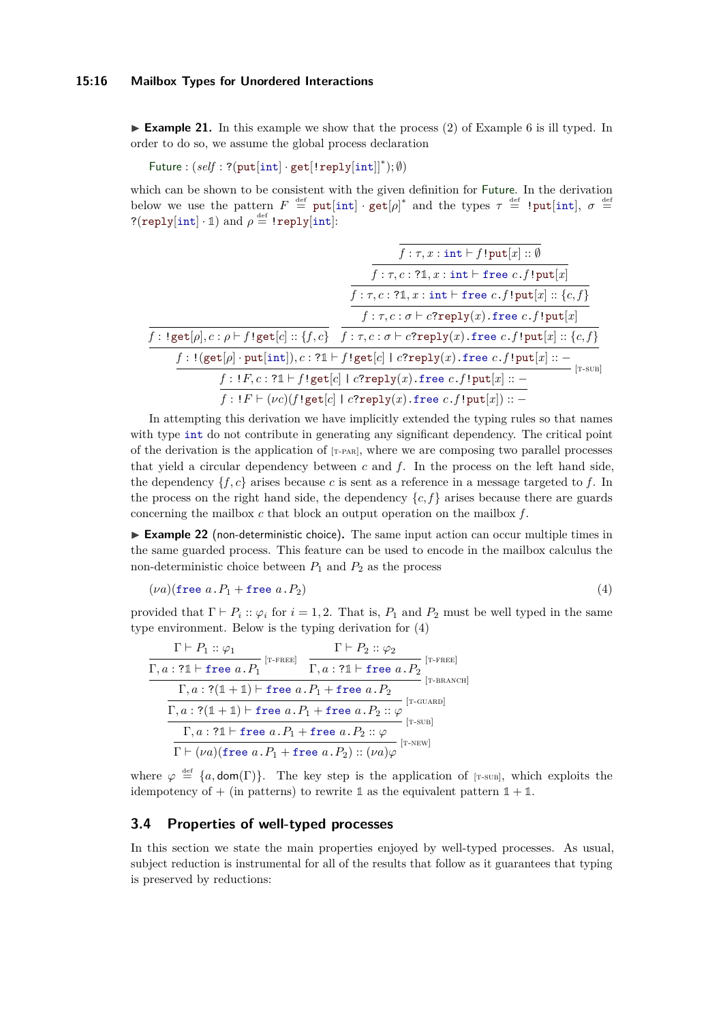<span id="page-15-1"></span>**Example 21.** In this example we show that the process [\(2\)](#page-6-2) of Example [6](#page-6-3) is ill typed. In order to do so, we assume the global process declaration

 $Future: (self: ?(put[int] \cdot get[!reply[int]]^*); \emptyset)$ 

which can be shown to be consistent with the given definition for Future. In the derivation below we use the pattern  $F \stackrel{\text{def}}{=} \text{put}[\text{int}] \cdot \text{get}[\rho]^*$  and the types  $\tau \stackrel{\text{def}}{=} \text{!put}[\text{int}], \sigma \stackrel{\text{def}}{=}$  $?(\texttt{reply}[\texttt{int}] \cdot \mathbb{1})$  and  $\rho \stackrel{\text{def}}{=} \texttt{!reply}[\texttt{int}]$ :

$$
\cfrac{f:\tau, x: \text{int} \vdash f!\text{put}[x]::\emptyset}{f:\tau, c: ?1, x: \text{int} \vdash \text{free } c.f!\text{put}[x]} \cdot \cfrac{f:\tau, c: ?1, x: \text{int} \vdash \text{free } c.f!\text{put}[x]}{f:\tau, c: ?1, x: \text{int} \vdash \text{free } c.f!\text{put}[x]::\{c,f\}} \cdot \cfrac{f:\text{get}[p], c: \rho \vdash f!\text{get}[c]::\{f,c\}}{f:\tau, c: \sigma \vdash c? \text{reply}(x). \text{free } c.f!\text{put}[x]::\{c,f\}} \cdot \cfrac{f:\text{get}[p], c: \rho \vdash f!\text{get}[c]::\{f,c\}}{f:\text{Set}[p] \cdot \text{put}[\text{int}]), c: ?1 \vdash f!\text{get}[c] \mid c? \text{reply}(x). \text{free } c.f!\text{put}[x]::\neg\neg f:\text{IF} \vdash (vc)(f!\text{get}[c] \mid c? \text{reply}(x). \text{free } c.f!\text{put}[x]::\neg\neg f:\text{IF} \vdash (vc)(f!\text{get}[c] \mid c? \text{reply}(x). \text{free } c.f!\text{put}[x]):\neg\neg f:\text{IF} \vdash (vc)(f!\text{get}[c] \mid c? \text{reply}(x). \text{free } c.f!\text{put}[x]):\neg\neg f:\text{IF} \vdash (vc)(f!\text{get}[c] \mid c? \text{reply}(x). \text{free } c.f!\text{put}[x]):\neg f:\text{IF} \vdash (vc)(f!\text{get}[c] \mid c? \text{reply}(x). \text{free } c.f!\text{put}[x]):\neg f:\text{IF} \vdash (vc)(f!\text{get}[c] \mid c? \text{reply}(x). \text{free } c.f!\text{put}[x]):\neg f:\text{IF} \vdash (vc)(f!\text{get}[c] \mid c? \text{reply}(x). \text{free } c.f!\text{put}[x]):\neg f:\text{IF} \vdash (vc)(f!\text{get}[c] \vdash c? \text{reply}(x). \text{free } c.f!\text{put}[x]):\neg f:\text{IF} \vdash (vc)(f!\text{get}[c] \vdash c? \text{reply}(x). \text{free } c.f!\text{put}[x]):\neg
$$

In attempting this derivation we have implicitly extended the typing rules so that names with type int do not contribute in generating any significant dependency. The critical point of the derivation is the application of  $\lceil$ -pard, where we are composing two parallel processes that yield a circular dependency between  $c$  and  $f$ . In the process on the left hand side, the dependency  $\{f, c\}$  arises because c is sent as a reference in a message targeted to f. In the process on the right hand side, the dependency  $\{c, f\}$  arises because there are guards concerning the mailbox *c* that block an output operation on the mailbox *f* .

<span id="page-15-3"></span>► **Example 22** (non-deterministic choice). The same input action can occur multiple times in the same guarded process. This feature can be used to encode in the mailbox calculus the non-deterministic choice between  $P_1$  and  $P_2$  as the process

<span id="page-15-2"></span>
$$
(\nu a)(\text{free } a \cdot P_1 + \text{free } a \cdot P_2) \tag{4}
$$

provided that  $\Gamma \vdash P_i :: \varphi_i$  for  $i = 1, 2$ . That is,  $P_1$  and  $P_2$  must be well typed in the same type environment. Below is the typing derivation for [\(4\)](#page-15-2)

$$
\frac{\Gamma \vdash P_1 :: \varphi_1 \qquad \qquad \Gamma \vdash P_2 :: \varphi_2}{\Gamma, a : ?1 \vdash \text{free } a.P_1} \frac{\Gamma \vdash P_2 :: \varphi_2}{\Gamma, a : ?1 \vdash \text{free } a.P_2} \frac{\Gamma}{\Gamma, a : ?1 \vdash \text{free } a.P_2} \frac{\Gamma}{\Gamma, a : ?1 \vdash \text{free } a.P_2} \frac{\Gamma}{\Gamma, a : ?1 \vdash \text{free } a.P_1 + \text{free } a.P_2} \frac{\Gamma}{\Gamma, a : ?1 \vdash \text{free } a.P_1 + \text{free } a.P_2 :: \varphi} \frac{\Gamma}{\Gamma, a : ?1 \vdash \text{free } a.P_1 + \text{free } a.P_2 :: \varphi} \frac{\Gamma, a : ?1 \vdash \text{free } a.P_1 + \text{free } a.P_2 :: \varphi} \frac{\Gamma, a : ?1 \vdash \text{free } a.P_1 + \text{free } a.P_2 :: \varphi} \frac{\Gamma, a : ?1 \vdash \text{free } a.P_1 + \text{free } a.P_2 :: \varphi} \frac{\Gamma, a : ?1 \vdash \text{free } a.P_1 + \text{free } a.P_2 :: \varphi} \frac{\Gamma, a : ?1 \vdash \text{free } a.P_2 :: \varphi} \frac{\Gamma, a : ?1 \vdash \text{free } a.P_2 :: \varphi} \frac{\Gamma, a : ?1 \vdash \text{free } a.P_2 :: \varphi} \frac{\Gamma, a : ?1 \vdash \text{free } a.P_2 :: \varphi} \frac{\Gamma, a : ?1 \vdash \text{free } a.P_2 :: \varphi} \frac{\Gamma, a : ?1 \vdash \text{free } a.P_2 :: \varphi} \frac{\Gamma, a : ?1 \vdash \text{free } a.P_2 :: \varphi} \frac{\Gamma, a : ?1 \vdash \text{free } a.P_2 :: \varphi} \frac{\Gamma, a : ?1 \vdash \text{free } a.P_2 :: \varphi} \frac{\Gamma, a : ?1 \vdash \text{free } a.P_2 :: \varphi} \frac{\Gamma, a : ?1 \vdash \text{free } a.P_2 :: \varphi} \frac{\Gamma, a : ?1 \vdash \text{free } a.P_1 + \text{free } a.P_2 :: \varphi} \frac{\Gamma, a : ?1 \vdash \text{free } a.P_2 :: \varphi} \frac{\Gamma, a : ?1 \vd
$$

where  $\varphi \stackrel{\text{def}}{=} \{a, \text{dom}(\Gamma)\}.$  The key step is the application of [T-SUB], which exploits the idempotency of  $+$  (in patterns) to rewrite  $\mathbb{1}$  as the equivalent pattern  $\mathbb{1} + \mathbb{1}$ .

### <span id="page-15-0"></span>**3.4 Properties of well-typed processes**

In this section we state the main properties enjoyed by well-typed processes. As usual, subject reduction is instrumental for all of the results that follow as it guarantees that typing is preserved by reductions: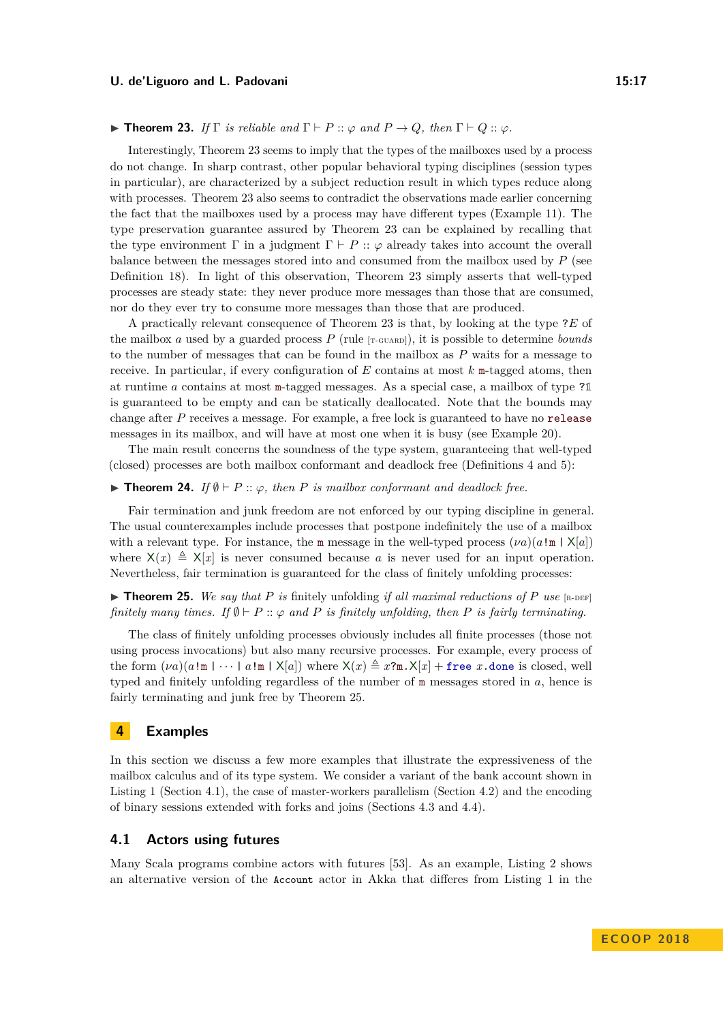#### <span id="page-16-1"></span> $\blacktriangleright$  **Theorem 23.** *If*  $\Gamma$  *is reliable and*  $\Gamma \vdash P :: \varphi$  *and*  $P \rightarrow Q$ *, then*  $\Gamma \vdash Q :: \varphi$ *.*

Interestingly, Theorem [23](#page-16-1) seems to imply that the types of the mailboxes used by a process do not change. In sharp contrast, other popular behavioral typing disciplines (session types in particular), are characterized by a subject reduction result in which types reduce along with processes. Theorem [23](#page-16-1) also seems to contradict the observations made earlier concerning the fact that the mailboxes used by a process may have different types (Example [11\)](#page-8-1). The type preservation guarantee assured by Theorem [23](#page-16-1) can be explained by recalling that the type environment  $\Gamma$  in a judgment  $\Gamma \vdash P :: \varphi$  already takes into account the overall balance between the messages stored into and consumed from the mailbox used by *P* (see Definition [18\)](#page-13-1). In light of this observation, Theorem [23](#page-16-1) simply asserts that well-typed processes are steady state: they never produce more messages than those that are consumed, nor do they ever try to consume more messages than those that are produced.

A practically relevant consequence of Theorem [23](#page-16-1) is that, by looking at the type ?*E* of the mailbox *a* used by a guarded process  $P$  (rule  $[r\text{-}c\text{-}v\text{-}k\text{-}m]$ ), it is possible to determine *bounds* to the number of messages that can be found in the mailbox as *P* waits for a message to receive. In particular, if every configuration of *E* contains at most *k* m-tagged atoms, then at runtime *a* contains at most m-tagged messages. As a special case, a mailbox of type ?**1** is guaranteed to be empty and can be statically deallocated. Note that the bounds may change after *P* receives a message. For example, a free lock is guaranteed to have no release messages in its mailbox, and will have at most one when it is busy (see Example [20\)](#page-14-0).

The main result concerns the soundness of the type system, guaranteeing that well-typed (closed) processes are both mailbox conformant and deadlock free (Definitions [4](#page-5-2) and [5\)](#page-5-1):

## <span id="page-16-4"></span>**Findmergeright 24.** *If*  $\emptyset \vdash P :: \varphi$ , then *P is mailbox conformant and deadlock free.*

Fair termination and junk freedom are not enforced by our typing discipline in general. The usual counterexamples include processes that postpone indefinitely the use of a mailbox with a relevant type. For instance, the m message in the well-typed process  $(\nu a)(a \cdot m \mid X[a])$ where  $X(x) \triangleq X[x]$  is never consumed because a is never used for an input operation. Nevertheless, fair termination is guaranteed for the class of finitely unfolding processes:

<span id="page-16-2"></span> $\triangleright$  **Theorem 25.** We say that P is finitely unfolding if all maximal reductions of P use [R-DEF] *finitely many times. If*  $\emptyset \vdash P :: \varphi$  *and P is finitely unfolding, then P is fairly terminating.* 

The class of finitely unfolding processes obviously includes all finite processes (those not using process invocations) but also many recursive processes. For example, every process of the form  $(\nu a)(a!m \mid \cdots \mid a!m \mid X[a])$  where  $X(x) \triangleq x?m$ .  $X[x]$  + free *x*.done is closed, well typed and finitely unfolding regardless of the number of m messages stored in *a*, hence is fairly terminating and junk free by Theorem [25.](#page-16-2)

# <span id="page-16-0"></span>**4 Examples**

In this section we discuss a few more examples that illustrate the expressiveness of the mailbox calculus and of its type system. We consider a variant of the bank account shown in Listing [1](#page-1-0) (Section [4.1\)](#page-16-3), the case of master-workers parallelism (Section [4.2\)](#page-18-0) and the encoding of binary sessions extended with forks and joins (Sections [4.3](#page-18-1) and [4.4\)](#page-20-0).

#### <span id="page-16-3"></span>**4.1 Actors using futures**

Many Scala programs combine actors with futures [\[53\]](#page-27-7). As an example, Listing [2](#page-17-0) shows an alternative version of the Account actor in Akka that differes from Listing [1](#page-1-0) in the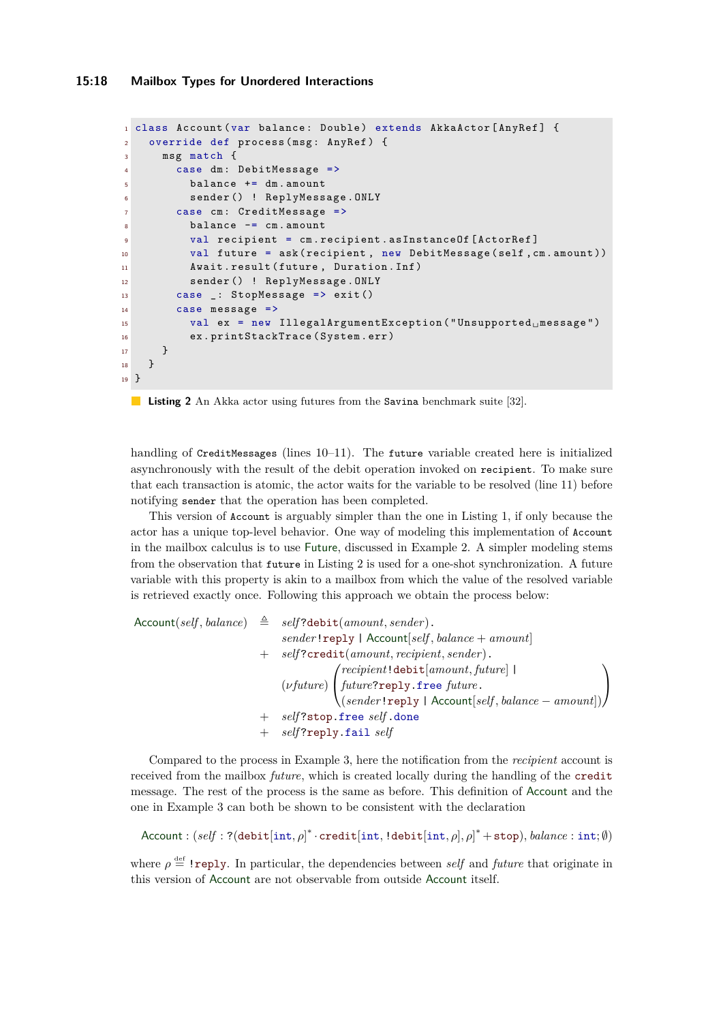#### **15:18 Mailbox Types for Unordered Interactions**

```
1 class Account (var balance: Double) extends AkkaActor [AnyRef] {
2 override def process (msg: AnyRef) {
3 msg match {
4 case dm : DebitMessage =>
5 balance += dm . amount
6 sender () ! ReplyMessage . ONLY
7 case cm: CreditMessage =>
8 balance -= cm . amount
9 val recipient = cm . recipient . asInstanceOf [ ActorRef ]
10 val future = ask ( recipient, new DebitMessage (self, cm. amount))
11 Await . result (future, Duration . Inf)
12 sender () ! ReplyMessage . ONLY
13 case _: StopMessage => exit()
14 case message =>
15 val ex = new IllegalArgumentException ("Unsupported 
message")
16 ex . printStackTrace ( System . err )
17 }
18 }
19 }
```
 $\mathcal{L}^{\text{max}}$ **Listing 2** An Akka actor using futures from the Savina benchmark suite [\[32\]](#page-26-2).

handling of CreditMessages (lines [10](#page-17-1)[–11\)](#page-17-2). The future variable created here is initialized asynchronously with the result of the debit operation invoked on recipient. To make sure that each transaction is atomic, the actor waits for the variable to be resolved (line [11\)](#page-17-2) before notifying sender that the operation has been completed.

This version of Account is arguably simpler than the one in Listing [1,](#page-1-0) if only because the actor has a unique top-level behavior. One way of modeling this implementation of Account in the mailbox calculus is to use Future, discussed in Example [2.](#page-4-1) A simpler modeling stems from the observation that future in Listing [2](#page-17-0) is used for a one-shot synchronization. A future variable with this property is akin to a mailbox from which the value of the resolved variable is retrieved exactly once. Following this approach we obtain the process below:

 $\text{Account}(self, balance) \triangleq self? \text{debit}(amount, sender).$ *sender*!reply | Account[*self , balance* + *amount*] + *self* ?credit(*amount, recipient, sender*). (*νfuture*)  $\sqrt{ }$  $\overline{1}$ *recipient*!debit[*amount, future*] | *future*?reply.free *future*. (*sender*!reply | Account[*self , balance* − *amount*])  $\setminus$  $\overline{1}$ + *self* ?stop.free *self* .done + *self* ?reply.fail *self*

Compared to the process in Example [3,](#page-5-0) here the notification from the *recipient* account is received from the mailbox *future*, which is created locally during the handling of the credit message. The rest of the process is the same as before. This definition of Account and the one in Example [3](#page-5-0) can both be shown to be consistent with the declaration

Account : (*self* : ?(debit[int*, ρ*] ∗ ·credit[int*,* !debit[int*, ρ*]*, ρ*] <sup>∗</sup> +stop)*, balance* : int; ∅)

where  $\rho \triangleq$  ! reply. In particular, the dependencies between *self* and *future* that originate in this version of Account are not observable from outside Account itself.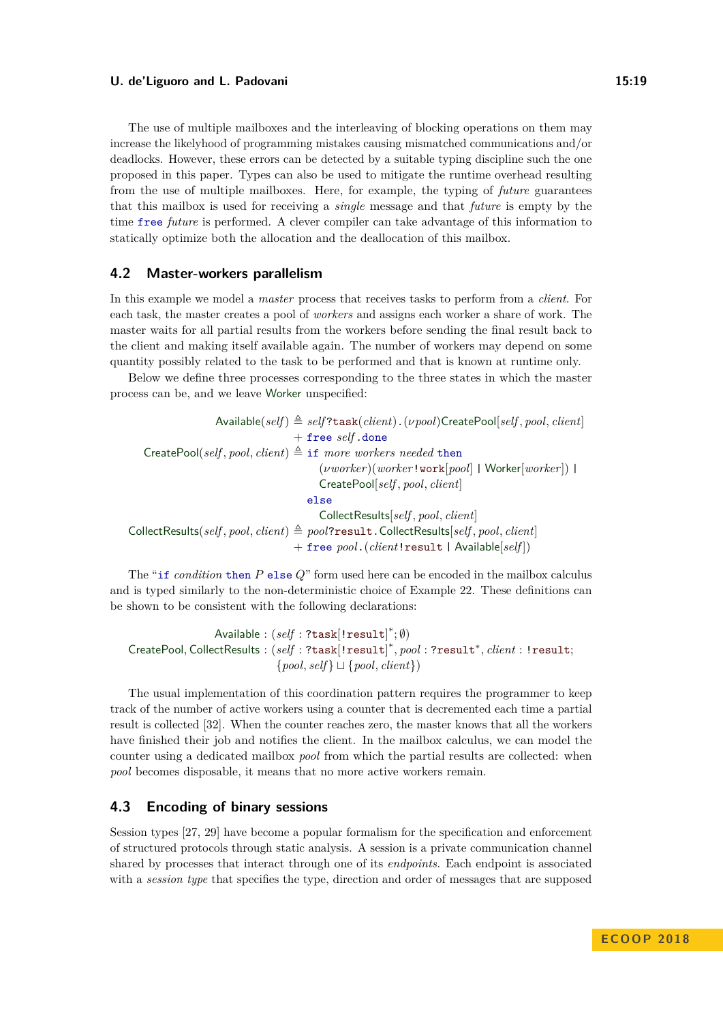The use of multiple mailboxes and the interleaving of blocking operations on them may increase the likelyhood of programming mistakes causing mismatched communications and/or deadlocks. However, these errors can be detected by a suitable typing discipline such the one proposed in this paper. Types can also be used to mitigate the runtime overhead resulting from the use of multiple mailboxes. Here, for example, the typing of *future* guarantees that this mailbox is used for receiving a *single* message and that *future* is empty by the time free *future* is performed. A clever compiler can take advantage of this information to statically optimize both the allocation and the deallocation of this mailbox.

# <span id="page-18-0"></span>**4.2 Master-workers parallelism**

In this example we model a *master* process that receives tasks to perform from a *client*. For each task, the master creates a pool of *workers* and assigns each worker a share of work. The master waits for all partial results from the workers before sending the final result back to the client and making itself available again. The number of workers may depend on some quantity possibly related to the task to be performed and that is known at runtime only.

Below we define three processes corresponding to the three states in which the master process can be, and we leave Worker unspecified:

 $\Delta$ vailable(*self*)  $\triangleq$  *self*?task(*client*).(*vpool*)CreatePool[*self*, *pool*, *client*] + free *self* .done CreatePool(*self*, *pool*, *client*)  $\triangleq$  if *more workers needed* then (*νworker*)(*worker*!work[*pool*] | Worker[*worker*]) | CreatePool[*self , pool, client*] else CollectResults[*self , pool, client*]  $\text{CollectResults}(self, pool, client) \triangleq pool? \text{result}. CollectResults[self, pool, client]$ + free *pool*.(*client*!result | Available[*self* ])

The "if *condition* then *P* else *Q*" form used here can be encoded in the mailbox calculus and is typed similarly to the non-deterministic choice of Example [22.](#page-15-3) These definitions can be shown to be consistent with the following declarations:

 $\mathsf{Available} : (self : \texttt{?task}[:\texttt{result}]^*; \emptyset)$ CreatePool*,* CollectResults : (*self* : ?task[!result] ∗ *, pool* : ?result<sup>∗</sup> *, client* : !result;  $\{pool, self\} \sqcup \{pool, client\})$ 

The usual implementation of this coordination pattern requires the programmer to keep track of the number of active workers using a counter that is decremented each time a partial result is collected [\[32\]](#page-26-2). When the counter reaches zero, the master knows that all the workers have finished their job and notifies the client. In the mailbox calculus, we can model the counter using a dedicated mailbox *pool* from which the partial results are collected: when *pool* becomes disposable, it means that no more active workers remain.

# <span id="page-18-1"></span>**4.3 Encoding of binary sessions**

Session types [\[27,](#page-26-4) [29\]](#page-26-3) have become a popular formalism for the specification and enforcement of structured protocols through static analysis. A session is a private communication channel shared by processes that interact through one of its *endpoints*. Each endpoint is associated with a *session type* that specifies the type, direction and order of messages that are supposed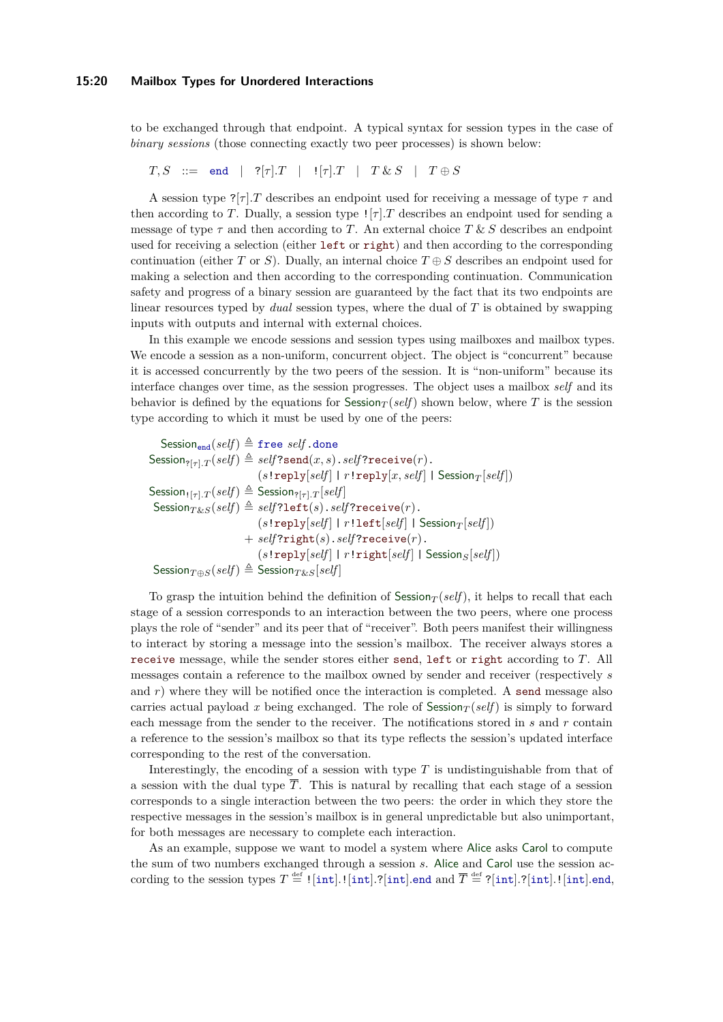#### **15:20 Mailbox Types for Unordered Interactions**

to be exchanged through that endpoint. A typical syntax for session types in the case of *binary sessions* (those connecting exactly two peer processes) is shown below:

 $T, S$  ::= end |  $?[{\tau}].T$  |  $![{\tau}].T$  |  $T \& S$  |  $T \oplus S$ 

A session type  $?[\tau]$ *.T* describes an endpoint used for receiving a message of type  $\tau$  and then according to *T*. Dually, a session type  $\lfloor \lceil \tau \rceil$ . *T* describes an endpoint used for sending a message of type  $\tau$  and then according to *T*. An external choice *T* & *S* describes an endpoint used for receiving a selection (either left or right) and then according to the corresponding continuation (either *T* or *S*). Dually, an internal choice  $T \oplus S$  describes an endpoint used for making a selection and then according to the corresponding continuation. Communication safety and progress of a binary session are guaranteed by the fact that its two endpoints are linear resources typed by *dual* session types, where the dual of *T* is obtained by swapping inputs with outputs and internal with external choices.

In this example we encode sessions and session types using mailboxes and mailbox types. We encode a session as a non-uniform, concurrent object. The object is "concurrent" because it is accessed concurrently by the two peers of the session. It is "non-uniform" because its interface changes over time, as the session progresses. The object uses a mailbox *self* and its behavior is defined by the equations for  $S$ ession<sub>*T*</sub> (*self*) shown below, where *T* is the session type according to which it must be used by one of the peers:

Session<sub>end</sub> $(self) \triangleq$  free *self* .done  $S$ ession<sub>?[*τ*]</sub> $T$ (*self*)  $\triangleq$  *self*?send(*x, s*).*self*?receive(*r*).  $(s!$  reply $[self] | r!$  reply $[x, self]$  | Session $T[self]$ )  $S$ ession<sub> $!$ [*τ*]</sub> $T$ (*self*)  $\triangleq$  Session<sub>?[*τ*]</sub> $T$ [*self*]  $S$ ession $T$ &*S*(*self*)  $\triangleq$  *self*?left(*s*).*self*?receive(*r*).  $(s!$  **reply**[ $self$ ] |  $r!$ **left**[ $self$ ] | Session $T$ [ $self$ ])  $+$  *self*?right(*s*).*self*?receive(*r*).  $(s!$  reply $[self]$  |  $r!$  right $[self]$  | Session $s[self]$ )  $S$ ession $_{T \oplus S}(self) \triangleq S$ ession $_{T \& S}[self]$ 

To grasp the intuition behind the definition of Session<sub>T</sub> (*self*), it helps to recall that each stage of a session corresponds to an interaction between the two peers, where one process plays the role of "sender" and its peer that of "receiver". Both peers manifest their willingness to interact by storing a message into the session's mailbox. The receiver always stores a receive message, while the sender stores either send, left or right according to *T*. All messages contain a reference to the mailbox owned by sender and receiver (respectively *s* and  $r$ ) where they will be notified once the interaction is completed. A send message also carries actual payload x being exchanged. The role of  $S$ ession $T$  (*self*) is simply to forward each message from the sender to the receiver. The notifications stored in *s* and *r* contain a reference to the session's mailbox so that its type reflects the session's updated interface corresponding to the rest of the conversation.

Interestingly, the encoding of a session with type *T* is undistinguishable from that of a session with the dual type  $\overline{T}$ . This is natural by recalling that each stage of a session corresponds to a single interaction between the two peers: the order in which they store the respective messages in the session's mailbox is in general unpredictable but also unimportant, for both messages are necessary to complete each interaction.

As an example, suppose we want to model a system where Alice asks Carol to compute the sum of two numbers exchanged through a session *s*. Alice and Carol use the session ac- $\text{cording to the session types } T \stackrel{\text{def}}{=} ! [\text{int}].![\text{int}].?\text{[int] .end and } \overline{T} \stackrel{\text{def}}{=} ?[\text{int}].?\text{[int] .end,}$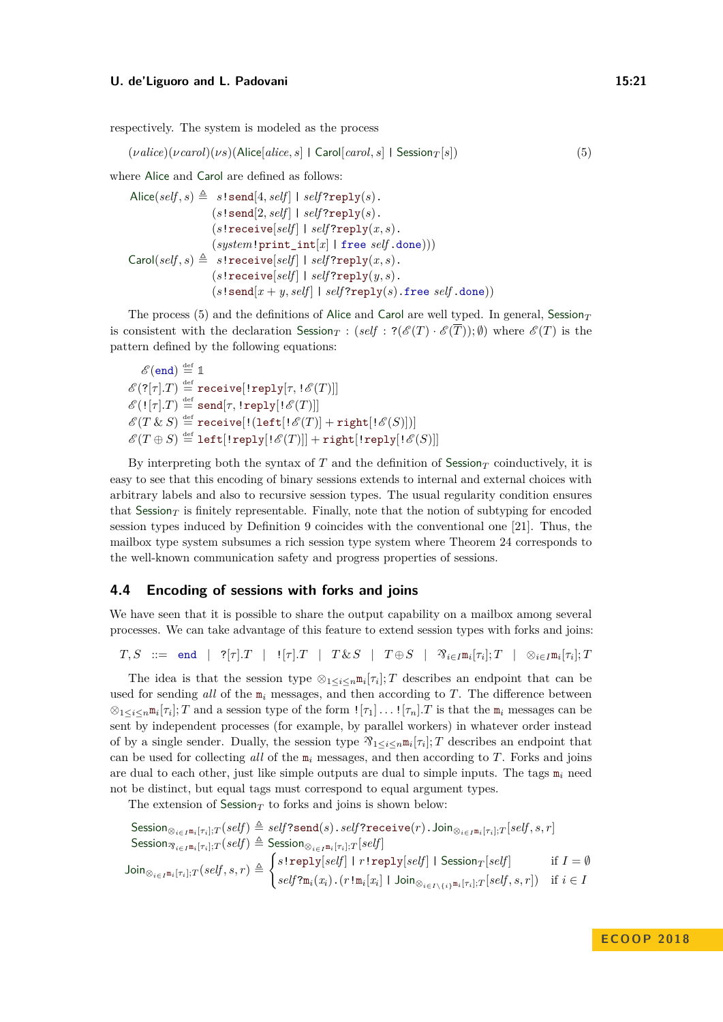respectively. The system is modeled as the process

<span id="page-20-1"></span> $(\nu \text{alice})(\nu \text{carol})(\nu s)(\text{Alice}[\text{alice}, s] \mid \text{Carol}[\text{carol}, s] \mid \text{Session}_T[s])$  (5)

where Alice and Carol are defined as follows:

$$
\begin{array}{rl}\text{Alice}(self, s) \triangleq & s! \texttt{send}[4, self] \mid self? \texttt{reply}(s).\end{array} \\ (s! \texttt{send}[2, self] \mid self? \texttt{reply}(s).\end{array} \\ (s! \texttt{receive}[self] \mid self? \texttt{reply}(x, s).\end{array} \\ \texttt{(system!print\_int[x] | free self.done)})) \\ \texttt{Carol}(self, s) \triangleq & s! \texttt{receive}[self] \mid self? \texttt{reply}(x, s).\end{array} \\ (s! \texttt{receive}[self] \mid self? \texttt{reply}(y, s).\end{array} \\ (s! \texttt{send}[x + y, self] \mid self? \texttt{reply}(s). \texttt{free self.done}))
$$

The process [\(5\)](#page-20-1) and the definitions of Alice and Carol are well typed. In general, Session<sub>T</sub> is consistent with the declaration Session<sub>*T*</sub> : ( $self$  :  $?(\mathscr{E}(T) \cdot \mathscr{E}(T))$ ;  $\emptyset$ ) where  $\mathscr{E}(T)$  is the pattern defined by the following equations:

 $\mathscr{E}(\texttt{end})\stackrel{\text{\tiny def}}{=}\mathbb{1}$  $\mathscr{E}(?[\tau].T) \stackrel{\text{\tiny def}}{=} \text{\tt receive}[\text{\tt \tt{reply}}[\tau,\text{\tt \tt!}\mathscr{E}(T)]]$  $\mathscr{E}(\mathop{!} [\tau].T) \stackrel{\text{def}}{=} \mathsf{send}[\tau,\mathop{!}\text{reply}[\mathop{!}\mathscr{E}(T)]]$  $\mathscr{E}(T\ \&\ S)\stackrel{\scriptscriptstyle\rm def}{=} {\tt receive} [!(\mathtt{left} [!\,\mathscr{E}(T)] + {\tt right} [!\,\mathscr{E}(S)])]$  $\mathscr{E}(T\oplus S)\stackrel{\scriptscriptstyle\rm def}{=} \mathtt{left}[:\mathtt{reply}[:\mathscr{E}(T)]]+\mathtt{right}[:\mathtt{verbl}][\mathscr{E}(S)]]$ 

By interpreting both the syntax of  $T$  and the definition of Session<sub>T</sub> coinductively, it is easy to see that this encoding of binary sessions extends to internal and external choices with arbitrary labels and also to recursive session types. The usual regularity condition ensures that Session<sub>T</sub> is finitely representable. Finally, note that the notion of subtyping for encoded session types induced by Definition [9](#page-7-3) coincides with the conventional one [\[21\]](#page-26-10). Thus, the mailbox type system subsumes a rich session type system where Theorem [24](#page-16-4) corresponds to the well-known communication safety and progress properties of sessions.

# <span id="page-20-0"></span>**4.4 Encoding of sessions with forks and joins**

We have seen that it is possible to share the output capability on a mailbox among several processes. We can take advantage of this feature to extend session types with forks and joins:

 $T, S$  ::= end | ? $[\tau].T$  |  $! [\tau].T$  |  $T \& S$  |  $T \oplus S$  |  $\mathfrak{D}_{i \in I} \mathfrak{m}_i[\tau_i]; T$  |  $\otimes_{i \in I} \mathfrak{m}_i[\tau_i]; T$ 

The idea is that the session type  $\otimes_{1 \leq i \leq n} \mathfrak{m}_i[\tau_i]; T$  describes an endpoint that can be used for sending *all* of the m*<sup>i</sup>* messages, and then according to *T*. The difference between  $\otimes_{1 \leq i \leq n} \mathfrak{m}_i[\tau_i]; T$  and a session type of the form  $\mathfrak{m}[\tau_1] \dots \mathfrak{l}[\tau_n].T$  is that the  $\mathfrak{m}_i$  messages can be sent by independent processes (for example, by parallel workers) in whatever order instead of by a single sender. Dually, the session type  $\mathcal{R}_{1 \leq i \leq n} \mathbb{I}_i[\tau_i]$ ; *T* describes an endpoint that can be used for collecting *all* of the m*<sup>i</sup>* messages, and then according to *T*. Forks and joins are dual to each other, just like simple outputs are dual to simple inputs. The tags  $m_i$  need not be distinct, but equal tags must correspond to equal argument types.

The extension of  $S$ ession<sub>*T*</sub> to forks and joins is shown below:

$$
\begin{aligned} &\text{Session}_{\otimes_{i \in I^{\mathfrak{m}_i}[\tau_i]; T}(self) } \triangleq self? \texttt{send}(s) . \textit{self? \texttt{receive}(r) . Join}_{\otimes_{i \in I^{\mathfrak{m}_i}[\tau_i]; T}[self, s, r] }\\ &\text{Session}_{\otimes_{i \in I^{\mathfrak{m}_i}[\tau_i]; T}(self) } \triangleq \texttt{Session}_{\otimes_{i \in I^{\mathfrak{m}_i}[\tau_i]; T}[self] }\\ &\text{Join}_{\otimes_{i \in I^{\mathfrak{m}_i}[\tau_i]; T}(self, s, r) \triangleq \begin{cases} s \texttt{!reply}[self] \mid r \texttt{!reply}[self] \mid S \texttt{ession}_T[self] & \text{if } I = \emptyset \\ self? \mathfrak{m}_i(x_i) . (r \texttt{!m}_i[x_i] \mid \texttt{Join}_{\otimes_{i \in I \setminus \{i\}} \mathfrak{m}_i[\tau_i]; T}[self, s, r]) & \text{if } i \in I \end{cases} \end{aligned}
$$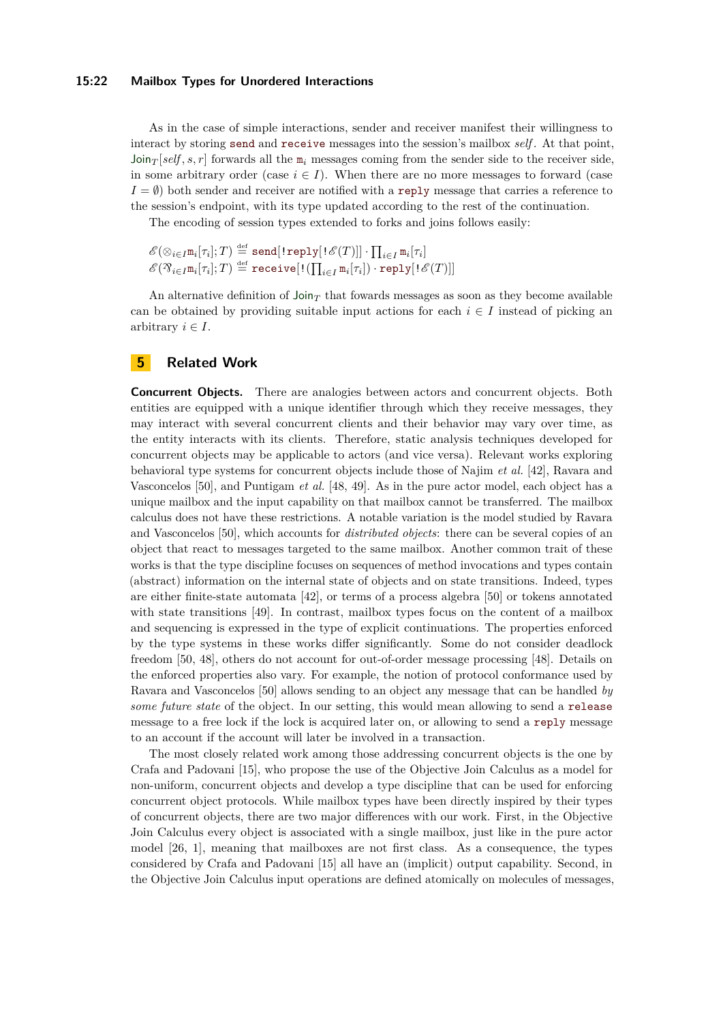#### **15:22 Mailbox Types for Unordered Interactions**

As in the case of simple interactions, sender and receiver manifest their willingness to interact by storing send and receive messages into the session's mailbox *self* . At that point,  $Join_T[self, s, r]$  forwards all the  $m_i$  messages coming from the sender side to the receiver side, in some arbitrary order (case  $i \in I$ ). When there are no more messages to forward (case  $I = \emptyset$ ) both sender and receiver are notified with a reply message that carries a reference to the session's endpoint, with its type updated according to the rest of the continuation.

The encoding of session types extended to forks and joins follows easily:

```
\mathscr{E}(\otimes_{i \in I} \mathtt{m}_i[\tau_i];T) \stackrel{\mathrm{def}}{=} \mathtt{send}[\,!\, \mathtt{reply}[\,!\, \mathscr{E}(T)]\,] \cdot \prod_{i \in I} \mathtt{m}_i[\tau_i]\mathscr{E}(X_{i \in I} \mathfrak{m}_i[\tau_i]; T) \stackrel{\text{def}}{=} \mathtt{receive}[\,!(\prod_{i \in I} \mathfrak{m}_i[\tau_i]) \cdot \mathtt{reply}[\,!(\mathscr{E}(T))]\,]
```
An alternative definition of  $\text{Join}_{T}$  that fowards messages as soon as they become available can be obtained by providing suitable input actions for each  $i \in I$  instead of picking an arbitrary  $i \in I$ .

# <span id="page-21-0"></span>**5 Related Work**

**Concurrent Objects.** There are analogies between actors and concurrent objects. Both entities are equipped with a unique identifier through which they receive messages, they may interact with several concurrent clients and their behavior may vary over time, as the entity interacts with its clients. Therefore, static analysis techniques developed for concurrent objects may be applicable to actors (and vice versa). Relevant works exploring behavioral type systems for concurrent objects include those of Najim *et al.* [\[42\]](#page-27-11), Ravara and Vasconcelos [\[50\]](#page-27-1), and Puntigam *et al.* [\[48,](#page-27-2) [49\]](#page-27-12). As in the pure actor model, each object has a unique mailbox and the input capability on that mailbox cannot be transferred. The mailbox calculus does not have these restrictions. A notable variation is the model studied by Ravara and Vasconcelos [\[50\]](#page-27-1), which accounts for *distributed objects*: there can be several copies of an object that react to messages targeted to the same mailbox. Another common trait of these works is that the type discipline focuses on sequences of method invocations and types contain (abstract) information on the internal state of objects and on state transitions. Indeed, types are either finite-state automata [\[42\]](#page-27-11), or terms of a process algebra [\[50\]](#page-27-1) or tokens annotated with state transitions [\[49\]](#page-27-12). In contrast, mailbox types focus on the content of a mailbox and sequencing is expressed in the type of explicit continuations. The properties enforced by the type systems in these works differ significantly. Some do not consider deadlock freedom [\[50,](#page-27-1) [48\]](#page-27-2), others do not account for out-of-order message processing [\[48\]](#page-27-2). Details on the enforced properties also vary. For example, the notion of protocol conformance used by Ravara and Vasconcelos [\[50\]](#page-27-1) allows sending to an object any message that can be handled *by some future state* of the object. In our setting, this would mean allowing to send a release message to a free lock if the lock is acquired later on, or allowing to send a reply message to an account if the account will later be involved in a transaction.

The most closely related work among those addressing concurrent objects is the one by Crafa and Padovani [\[15\]](#page-25-4), who propose the use of the Objective Join Calculus as a model for non-uniform, concurrent objects and develop a type discipline that can be used for enforcing concurrent object protocols. While mailbox types have been directly inspired by their types of concurrent objects, there are two major differences with our work. First, in the Objective Join Calculus every object is associated with a single mailbox, just like in the pure actor model [\[26,](#page-26-0) [1\]](#page-25-1), meaning that mailboxes are not first class. As a consequence, the types considered by Crafa and Padovani [\[15\]](#page-25-4) all have an (implicit) output capability. Second, in the Objective Join Calculus input operations are defined atomically on molecules of messages,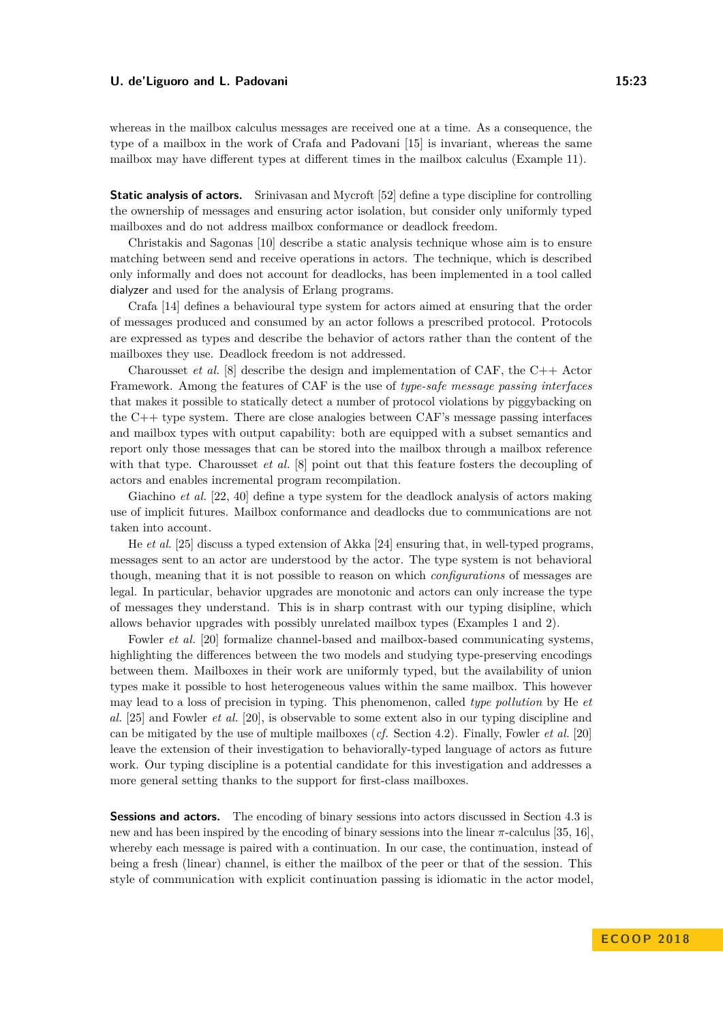whereas in the mailbox calculus messages are received one at a time. As a consequence, the type of a mailbox in the work of Crafa and Padovani [\[15\]](#page-25-4) is invariant, whereas the same mailbox may have different types at different times in the mailbox calculus (Example [11\)](#page-8-1).

**Static analysis of actors.** Srinivasan and Mycroft [\[52\]](#page-27-0) define a type discipline for controlling the ownership of messages and ensuring actor isolation, but consider only uniformly typed mailboxes and do not address mailbox conformance or deadlock freedom.

Christakis and Sagonas [\[10\]](#page-25-12) describe a static analysis technique whose aim is to ensure matching between send and receive operations in actors. The technique, which is described only informally and does not account for deadlocks, has been implemented in a tool called dialyzer and used for the analysis of Erlang programs.

Crafa [\[14\]](#page-25-13) defines a behavioural type system for actors aimed at ensuring that the order of messages produced and consumed by an actor follows a prescribed protocol. Protocols are expressed as types and describe the behavior of actors rather than the content of the mailboxes they use. Deadlock freedom is not addressed.

Charousset *et al.* [\[8\]](#page-25-3) describe the design and implementation of CAF, the  $C_{++}$  Actor Framework. Among the features of CAF is the use of *type-safe message passing interfaces* that makes it possible to statically detect a number of protocol violations by piggybacking on the C++ type system. There are close analogies between CAF's message passing interfaces and mailbox types with output capability: both are equipped with a subset semantics and report only those messages that can be stored into the mailbox through a mailbox reference with that type. Charousset *et al.* [\[8\]](#page-25-3) point out that this feature fosters the decoupling of actors and enables incremental program recompilation.

Giachino *et al.* [\[22,](#page-26-11) [40\]](#page-27-13) define a type system for the deadlock analysis of actors making use of implicit futures. Mailbox conformance and deadlocks due to communications are not taken into account.

He *et al.* [\[25\]](#page-26-12) discuss a typed extension of Akka [\[24\]](#page-26-1) ensuring that, in well-typed programs, messages sent to an actor are understood by the actor. The type system is not behavioral though, meaning that it is not possible to reason on which *configurations* of messages are legal. In particular, behavior upgrades are monotonic and actors can only increase the type of messages they understand. This is in sharp contrast with our typing disipline, which allows behavior upgrades with possibly unrelated mailbox types (Examples [1](#page-4-0) and [2\)](#page-4-1).

Fowler *et al.* [\[20\]](#page-26-13) formalize channel-based and mailbox-based communicating systems, highlighting the differences between the two models and studying type-preserving encodings between them. Mailboxes in their work are uniformly typed, but the availability of union types make it possible to host heterogeneous values within the same mailbox. This however may lead to a loss of precision in typing. This phenomenon, called *type pollution* by He *et al.* [\[25\]](#page-26-12) and Fowler *et al.* [\[20\]](#page-26-13), is observable to some extent also in our typing discipline and can be mitigated by the use of multiple mailboxes (*cf.* Section [4.2\)](#page-18-0). Finally, Fowler *et al.* [\[20\]](#page-26-13) leave the extension of their investigation to behaviorally-typed language of actors as future work. Our typing discipline is a potential candidate for this investigation and addresses a more general setting thanks to the support for first-class mailboxes.

**Sessions and actors.** The encoding of binary sessions into actors discussed in Section [4.3](#page-18-1) is new and has been inspired by the encoding of binary sessions into the linear *π*-calculus [\[35,](#page-26-14) [16\]](#page-25-14), whereby each message is paired with a continuation. In our case, the continuation, instead of being a fresh (linear) channel, is either the mailbox of the peer or that of the session. This style of communication with explicit continuation passing is idiomatic in the actor model,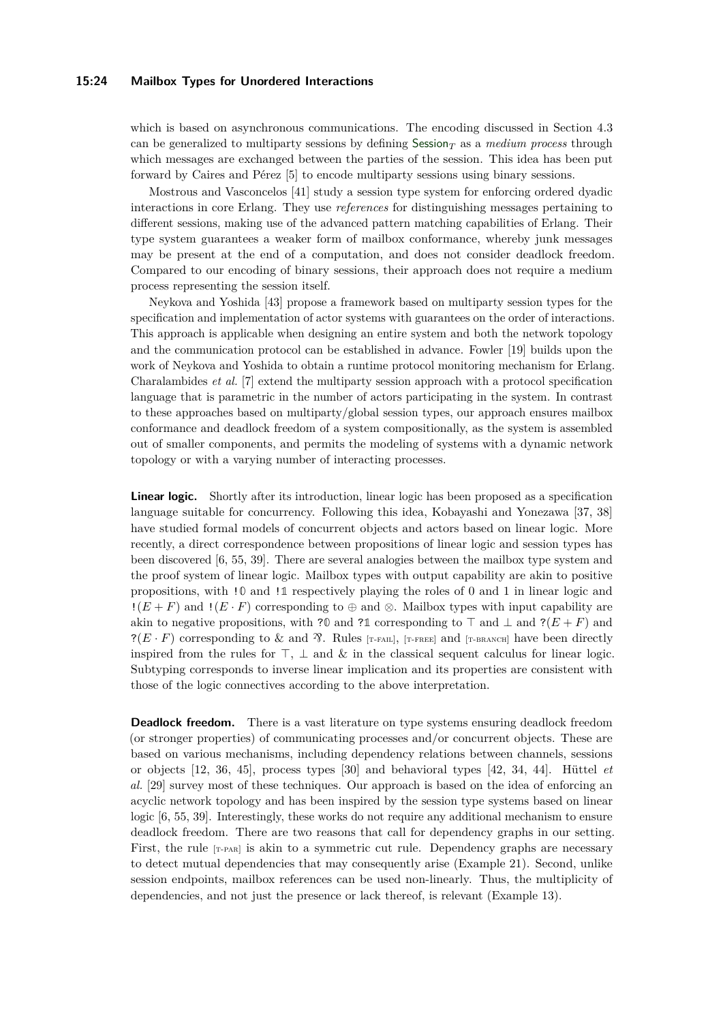#### **15:24 Mailbox Types for Unordered Interactions**

which is based on asynchronous communications. The encoding discussed in Section [4.3](#page-18-1) can be generalized to multiparty sessions by defining  $S$ ession<sub>T</sub> as a *medium process* through which messages are exchanged between the parties of the session. This idea has been put forward by Caires and Pérez [\[5\]](#page-25-15) to encode multiparty sessions using binary sessions.

Mostrous and Vasconcelos [\[41\]](#page-27-4) study a session type system for enforcing ordered dyadic interactions in core Erlang. They use *references* for distinguishing messages pertaining to different sessions, making use of the advanced pattern matching capabilities of Erlang. Their type system guarantees a weaker form of mailbox conformance, whereby junk messages may be present at the end of a computation, and does not consider deadlock freedom. Compared to our encoding of binary sessions, their approach does not require a medium process representing the session itself.

Neykova and Yoshida [\[43\]](#page-27-5) propose a framework based on multiparty session types for the specification and implementation of actor systems with guarantees on the order of interactions. This approach is applicable when designing an entire system and both the network topology and the communication protocol can be established in advance. Fowler [\[19\]](#page-25-7) builds upon the work of Neykova and Yoshida to obtain a runtime protocol monitoring mechanism for Erlang. Charalambides *et al.* [\[7\]](#page-25-6) extend the multiparty session approach with a protocol specification language that is parametric in the number of actors participating in the system. In contrast to these approaches based on multiparty/global session types, our approach ensures mailbox conformance and deadlock freedom of a system compositionally, as the system is assembled out of smaller components, and permits the modeling of systems with a dynamic network topology or with a varying number of interacting processes.

**Linear logic.** Shortly after its introduction, linear logic has been proposed as a specification language suitable for concurrency. Following this idea, Kobayashi and Yonezawa [\[37,](#page-26-15) [38\]](#page-26-16) have studied formal models of concurrent objects and actors based on linear logic. More recently, a direct correspondence between propositions of linear logic and session types has been discovered [\[6,](#page-25-16) [55,](#page-27-14) [39\]](#page-27-15). There are several analogies between the mailbox type system and the proof system of linear logic. Mailbox types with output capability are akin to positive propositions, with !**0** and !**1** respectively playing the roles of 0 and 1 in linear logic and  $!(E+F)$  and  $!(E\cdot F)$  corresponding to  $\oplus$  and  $\otimes$ . Mailbox types with input capability are akin to negative propositions, with ?0 and ?1 corresponding to  $\top$  and  $\bot$  and ?( $E + F$ ) and ?( $E \cdot F$ ) corresponding to & and  $\mathcal{R}$ . Rules [T-FAIL], [T-FREE] and [T-BRANCH] have been directly inspired from the rules for  $\top$ ,  $\bot$  and  $\&$  in the classical sequent calculus for linear logic. Subtyping corresponds to inverse linear implication and its properties are consistent with those of the logic connectives according to the above interpretation.

**Deadlock freedom.** There is a vast literature on type systems ensuring deadlock freedom (or stronger properties) of communicating processes and/or concurrent objects. These are based on various mechanisms, including dependency relations between channels, sessions or objects [\[12,](#page-25-17) [36,](#page-26-17) [45\]](#page-27-16), process types [\[30\]](#page-26-18) and behavioral types [\[42,](#page-27-11) [34,](#page-26-8) [44\]](#page-27-9). Hüttel *et al.* [\[29\]](#page-26-3) survey most of these techniques. Our approach is based on the idea of enforcing an acyclic network topology and has been inspired by the session type systems based on linear logic [\[6,](#page-25-16) [55,](#page-27-14) [39\]](#page-27-15). Interestingly, these works do not require any additional mechanism to ensure deadlock freedom. There are two reasons that call for dependency graphs in our setting. First, the rule  $[r-PAR]$  is akin to a symmetric cut rule. Dependency graphs are necessary to detect mutual dependencies that may consequently arise (Example [21\)](#page-15-1). Second, unlike session endpoints, mailbox references can be used non-linearly. Thus, the multiplicity of dependencies, and not just the presence or lack thereof, is relevant (Example [13\)](#page-9-5).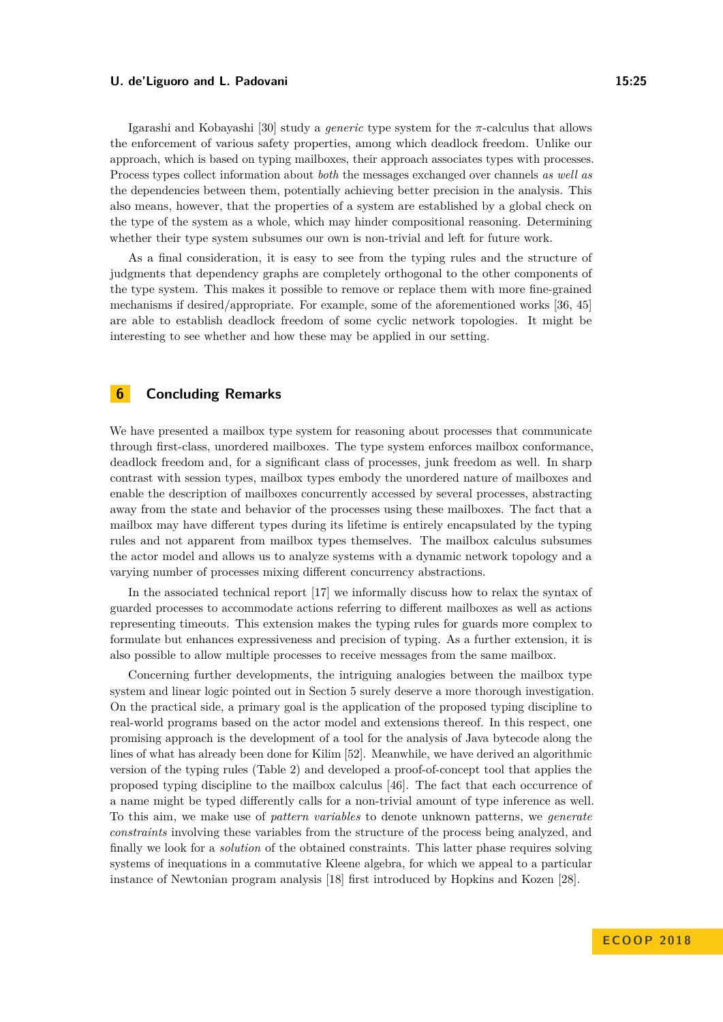Igarashi and Kobayashi [\[30\]](#page-26-18) study a *generic* type system for the *π*-calculus that allows the enforcement of various safety properties, among which deadlock freedom. Unlike our approach, which is based on typing mailboxes, their approach associates types with processes. Process types collect information about *both* the messages exchanged over channels *as well as* the dependencies between them, potentially achieving better precision in the analysis. This also means, however, that the properties of a system are established by a global check on the type of the system as a whole, which may hinder compositional reasoning. Determining whether their type system subsumes our own is non-trivial and left for future work.

As a final consideration, it is easy to see from the typing rules and the structure of judgments that dependency graphs are completely orthogonal to the other components of the type system. This makes it possible to remove or replace them with more fine-grained mechanisms if desired/appropriate. For example, some of the aforementioned works [\[36,](#page-26-17) [45\]](#page-27-16) are able to establish deadlock freedom of some cyclic network topologies. It might be interesting to see whether and how these may be applied in our setting.

# <span id="page-24-0"></span>**6 Concluding Remarks**

We have presented a mailbox type system for reasoning about processes that communicate through first-class, unordered mailboxes. The type system enforces mailbox conformance, deadlock freedom and, for a significant class of processes, junk freedom as well. In sharp contrast with session types, mailbox types embody the unordered nature of mailboxes and enable the description of mailboxes concurrently accessed by several processes, abstracting away from the state and behavior of the processes using these mailboxes. The fact that a mailbox may have different types during its lifetime is entirely encapsulated by the typing rules and not apparent from mailbox types themselves. The mailbox calculus subsumes the actor model and allows us to analyze systems with a dynamic network topology and a varying number of processes mixing different concurrency abstractions.

In the associated technical report [\[17\]](#page-25-0) we informally discuss how to relax the syntax of guarded processes to accommodate actions referring to different mailboxes as well as actions representing timeouts. This extension makes the typing rules for guards more complex to formulate but enhances expressiveness and precision of typing. As a further extension, it is also possible to allow multiple processes to receive messages from the same mailbox.

Concerning further developments, the intriguing analogies between the mailbox type system and linear logic pointed out in Section [5](#page-21-0) surely deserve a more thorough investigation. On the practical side, a primary goal is the application of the proposed typing discipline to real-world programs based on the actor model and extensions thereof. In this respect, one promising approach is the development of a tool for the analysis of Java bytecode along the lines of what has already been done for Kilim [\[52\]](#page-27-0). Meanwhile, we have derived an algorithmic version of the typing rules (Table [2\)](#page-10-11) and developed a proof-of-concept tool that applies the proposed typing discipline to the mailbox calculus [\[46\]](#page-27-17). The fact that each occurrence of a name might be typed differently calls for a non-trivial amount of type inference as well. To this aim, we make use of *pattern variables* to denote unknown patterns, we *generate constraints* involving these variables from the structure of the process being analyzed, and finally we look for a *solution* of the obtained constraints. This latter phase requires solving systems of inequations in a commutative Kleene algebra, for which we appeal to a particular instance of Newtonian program analysis [\[18\]](#page-25-18) first introduced by Hopkins and Kozen [\[28\]](#page-26-9).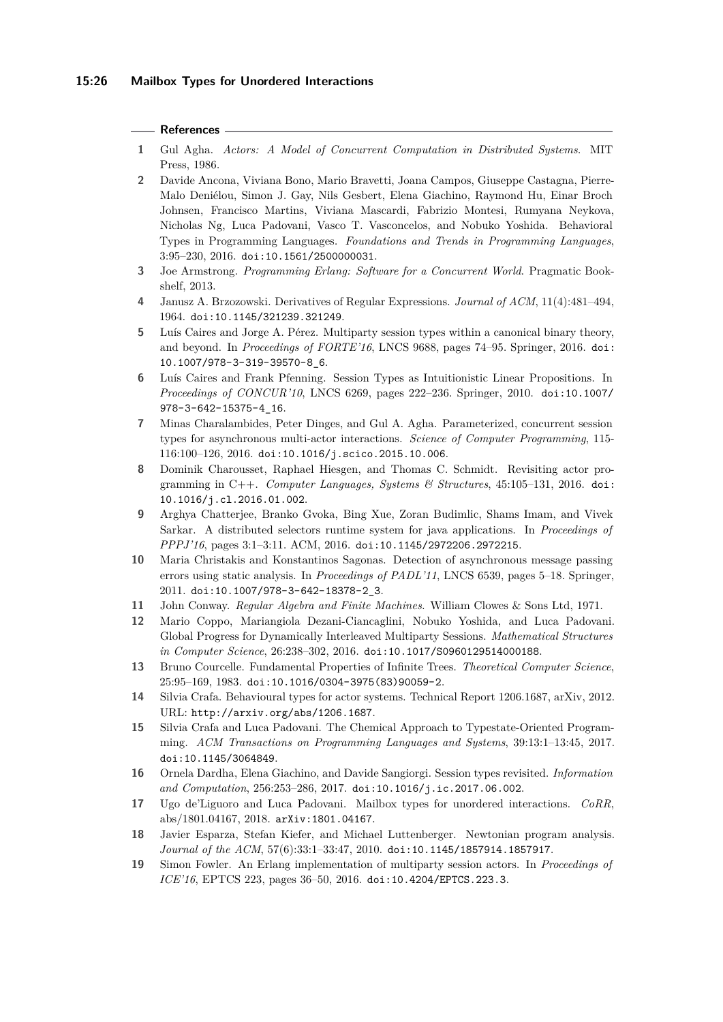### **References**

- <span id="page-25-1"></span>**1** Gul Agha. *Actors: A Model of Concurrent Computation in Distributed Systems*. MIT Press, 1986.
- <span id="page-25-5"></span>**2** Davide Ancona, Viviana Bono, Mario Bravetti, Joana Campos, Giuseppe Castagna, Pierre-Malo Deniélou, Simon J. Gay, Nils Gesbert, Elena Giachino, Raymond Hu, Einar Broch Johnsen, Francisco Martins, Viviana Mascardi, Fabrizio Montesi, Rumyana Neykova, Nicholas Ng, Luca Padovani, Vasco T. Vasconcelos, and Nobuko Yoshida. Behavioral Types in Programming Languages. *Foundations and Trends in Programming Languages*, 3:95–230, 2016. [doi:10.1561/2500000031](http://dx.doi.org/10.1561/2500000031).
- <span id="page-25-2"></span>**3** Joe Armstrong. *Programming Erlang: Software for a Concurrent World*. Pragmatic Bookshelf, 2013.
- <span id="page-25-11"></span>**4** Janusz A. Brzozowski. Derivatives of Regular Expressions. *Journal of ACM*, 11(4):481–494, 1964. [doi:10.1145/321239.321249](http://dx.doi.org/10.1145/321239.321249).
- <span id="page-25-15"></span>**5** Luís Caires and Jorge A. Pérez. Multiparty session types within a canonical binary theory, and beyond. In *Proceedings of FORTE'16*, LNCS 9688, pages 74–95. Springer, 2016. [doi:](http://dx.doi.org/10.1007/978-3-319-39570-8_6) [10.1007/978-3-319-39570-8\\_6](http://dx.doi.org/10.1007/978-3-319-39570-8_6).
- <span id="page-25-16"></span>**6** Luís Caires and Frank Pfenning. Session Types as Intuitionistic Linear Propositions. In *Proceedings of CONCUR'10*, LNCS 6269, pages 222–236. Springer, 2010. [doi:10.1007/](http://dx.doi.org/10.1007/978-3-642-15375-4_16) [978-3-642-15375-4\\_16](http://dx.doi.org/10.1007/978-3-642-15375-4_16).
- <span id="page-25-6"></span>**7** Minas Charalambides, Peter Dinges, and Gul A. Agha. Parameterized, concurrent session types for asynchronous multi-actor interactions. *Science of Computer Programming*, 115- 116:100–126, 2016. [doi:10.1016/j.scico.2015.10.006](http://dx.doi.org/10.1016/j.scico.2015.10.006).
- <span id="page-25-3"></span>**8** Dominik Charousset, Raphael Hiesgen, and Thomas C. Schmidt. Revisiting actor programming in C++. *Computer Languages, Systems & Structures*, 45:105–131, 2016. [doi:](http://dx.doi.org/10.1016/j.cl.2016.01.002) [10.1016/j.cl.2016.01.002](http://dx.doi.org/10.1016/j.cl.2016.01.002).
- <span id="page-25-8"></span>**9** Arghya Chatterjee, Branko Gvoka, Bing Xue, Zoran Budimlic, Shams Imam, and Vivek Sarkar. A distributed selectors runtime system for java applications. In *Proceedings of PPPJ'16*, pages 3:1–3:11. ACM, 2016. [doi:10.1145/2972206.2972215](http://dx.doi.org/10.1145/2972206.2972215).
- <span id="page-25-12"></span>**10** Maria Christakis and Konstantinos Sagonas. Detection of asynchronous message passing errors using static analysis. In *Proceedings of PADL'11*, LNCS 6539, pages 5–18. Springer, 2011. [doi:10.1007/978-3-642-18378-2\\_3](http://dx.doi.org/10.1007/978-3-642-18378-2_3).
- <span id="page-25-9"></span>**11** John Conway. *Regular Algebra and Finite Machines*. William Clowes & Sons Ltd, 1971.
- <span id="page-25-17"></span>**12** Mario Coppo, Mariangiola Dezani-Ciancaglini, Nobuko Yoshida, and Luca Padovani. Global Progress for Dynamically Interleaved Multiparty Sessions. *Mathematical Structures in Computer Science*, 26:238–302, 2016. [doi:10.1017/S0960129514000188](http://dx.doi.org/10.1017/S0960129514000188).
- <span id="page-25-10"></span>**13** Bruno Courcelle. Fundamental Properties of Infinite Trees. *Theoretical Computer Science*, 25:95–169, 1983. [doi:10.1016/0304-3975\(83\)90059-2](http://dx.doi.org/10.1016/0304-3975(83)90059-2).
- <span id="page-25-13"></span>**14** Silvia Crafa. Behavioural types for actor systems. Technical Report 1206.1687, arXiv, 2012. URL: <http://arxiv.org/abs/1206.1687>.
- <span id="page-25-4"></span>**15** Silvia Crafa and Luca Padovani. The Chemical Approach to Typestate-Oriented Programming. *ACM Transactions on Programming Languages and Systems*, 39:13:1–13:45, 2017. [doi:10.1145/3064849](http://dx.doi.org/10.1145/3064849).
- <span id="page-25-14"></span>**16** Ornela Dardha, Elena Giachino, and Davide Sangiorgi. Session types revisited. *Information and Computation*, 256:253–286, 2017. [doi:10.1016/j.ic.2017.06.002](http://dx.doi.org/10.1016/j.ic.2017.06.002).
- <span id="page-25-0"></span>**17** Ugo de'Liguoro and Luca Padovani. Mailbox types for unordered interactions. *CoRR*, abs/1801.04167, 2018. [arXiv:1801.04167](http://arxiv.org/abs/1801.04167).
- <span id="page-25-18"></span>**18** Javier Esparza, Stefan Kiefer, and Michael Luttenberger. Newtonian program analysis. *Journal of the ACM*, 57(6):33:1–33:47, 2010. [doi:10.1145/1857914.1857917](http://dx.doi.org/10.1145/1857914.1857917).
- <span id="page-25-7"></span>**19** Simon Fowler. An Erlang implementation of multiparty session actors. In *Proceedings of ICE'16*, EPTCS 223, pages 36–50, 2016. [doi:10.4204/EPTCS.223.3](http://dx.doi.org/10.4204/EPTCS.223.3).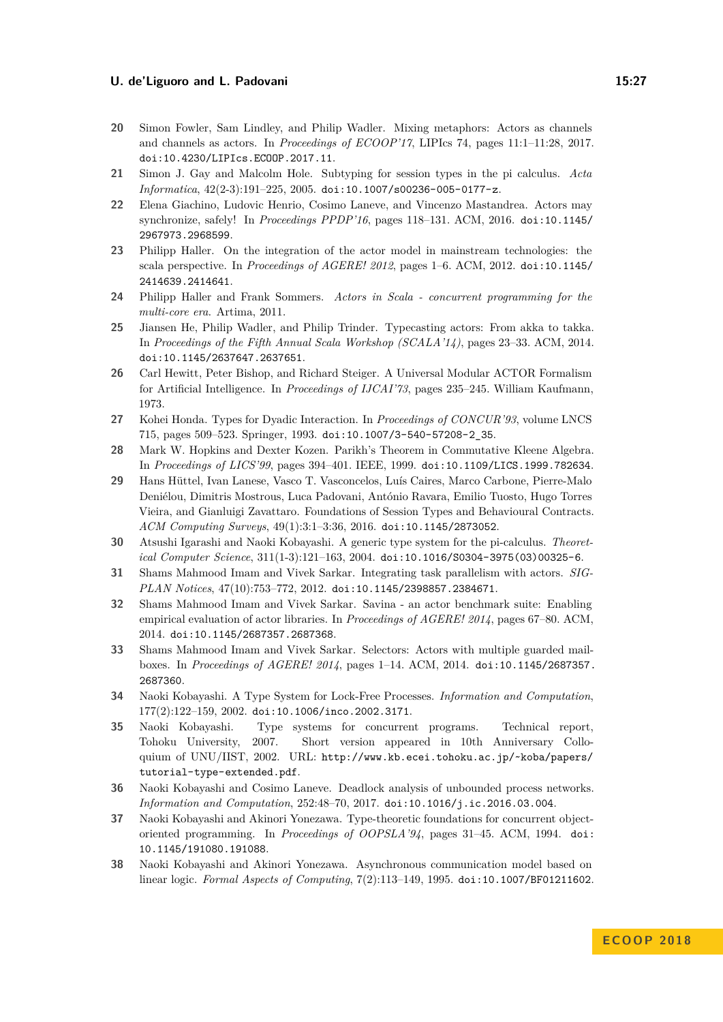- <span id="page-26-13"></span>**20** Simon Fowler, Sam Lindley, and Philip Wadler. Mixing metaphors: Actors as channels and channels as actors. In *Proceedings of ECOOP'17*, LIPIcs 74, pages 11:1–11:28, 2017. [doi:10.4230/LIPIcs.ECOOP.2017.11](http://dx.doi.org/10.4230/LIPIcs.ECOOP.2017.11).
- <span id="page-26-10"></span>**21** Simon J. Gay and Malcolm Hole. Subtyping for session types in the pi calculus. *Acta Informatica*, 42(2-3):191–225, 2005. [doi:10.1007/s00236-005-0177-z](http://dx.doi.org/10.1007/s00236-005-0177-z).
- <span id="page-26-11"></span>**22** Elena Giachino, Ludovic Henrio, Cosimo Laneve, and Vincenzo Mastandrea. Actors may synchronize, safely! In *Proceedings PPDP'16*, pages 118–131. ACM, 2016. [doi:10.1145/](http://dx.doi.org/10.1145/2967973.2968599) [2967973.2968599](http://dx.doi.org/10.1145/2967973.2968599).
- <span id="page-26-7"></span>**23** Philipp Haller. On the integration of the actor model in mainstream technologies: the scala perspective. In *Proceedings of AGERE! 2012*, pages 1–6. ACM, 2012. [doi:10.1145/](http://dx.doi.org/10.1145/2414639.2414641) [2414639.2414641](http://dx.doi.org/10.1145/2414639.2414641).
- <span id="page-26-1"></span>**24** Philipp Haller and Frank Sommers. *Actors in Scala - concurrent programming for the multi-core era*. Artima, 2011.
- <span id="page-26-12"></span>**25** Jiansen He, Philip Wadler, and Philip Trinder. Typecasting actors: From akka to takka. In *Proceedings of the Fifth Annual Scala Workshop (SCALA'14)*, pages 23–33. ACM, 2014. [doi:10.1145/2637647.2637651](http://dx.doi.org/10.1145/2637647.2637651).
- <span id="page-26-0"></span>**26** Carl Hewitt, Peter Bishop, and Richard Steiger. A Universal Modular ACTOR Formalism for Artificial Intelligence. In *Proceedings of IJCAI'73*, pages 235–245. William Kaufmann, 1973.
- <span id="page-26-4"></span>**27** Kohei Honda. Types for Dyadic Interaction. In *Proceedings of CONCUR'93*, volume LNCS 715, pages 509–523. Springer, 1993. [doi:10.1007/3-540-57208-2\\_35](http://dx.doi.org/10.1007/3-540-57208-2_35).
- <span id="page-26-9"></span>**28** Mark W. Hopkins and Dexter Kozen. Parikh's Theorem in Commutative Kleene Algebra. In *Proceedings of LICS'99*, pages 394–401. IEEE, 1999. [doi:10.1109/LICS.1999.782634](http://dx.doi.org/10.1109/LICS.1999.782634).
- <span id="page-26-3"></span>**29** Hans Hüttel, Ivan Lanese, Vasco T. Vasconcelos, Luís Caires, Marco Carbone, Pierre-Malo Deniélou, Dimitris Mostrous, Luca Padovani, António Ravara, Emilio Tuosto, Hugo Torres Vieira, and Gianluigi Zavattaro. Foundations of Session Types and Behavioural Contracts. *ACM Computing Surveys*, 49(1):3:1–3:36, 2016. [doi:10.1145/2873052](http://dx.doi.org/10.1145/2873052).
- <span id="page-26-18"></span>**30** Atsushi Igarashi and Naoki Kobayashi. A generic type system for the pi-calculus. *Theoretical Computer Science*, 311(1-3):121–163, 2004. [doi:10.1016/S0304-3975\(03\)00325-6](http://dx.doi.org/10.1016/S0304-3975(03)00325-6).
- <span id="page-26-6"></span>**31** Shams Mahmood Imam and Vivek Sarkar. Integrating task parallelism with actors. *SIG-PLAN Notices*, 47(10):753–772, 2012. [doi:10.1145/2398857.2384671](http://dx.doi.org/10.1145/2398857.2384671).
- <span id="page-26-2"></span>**32** Shams Mahmood Imam and Vivek Sarkar. Savina - an actor benchmark suite: Enabling empirical evaluation of actor libraries. In *Proceedings of AGERE! 2014*, pages 67–80. ACM, 2014. [doi:10.1145/2687357.2687368](http://dx.doi.org/10.1145/2687357.2687368).
- <span id="page-26-5"></span>**33** Shams Mahmood Imam and Vivek Sarkar. Selectors: Actors with multiple guarded mailboxes. In *Proceedings of AGERE! 2014*, pages 1–14. ACM, 2014. [doi:10.1145/2687357.](http://dx.doi.org/10.1145/2687357.2687360) [2687360](http://dx.doi.org/10.1145/2687357.2687360).
- <span id="page-26-8"></span>**34** Naoki Kobayashi. A Type System for Lock-Free Processes. *Information and Computation*, 177(2):122–159, 2002. [doi:10.1006/inco.2002.3171](http://dx.doi.org/10.1006/inco.2002.3171).
- <span id="page-26-14"></span>**35** Naoki Kobayashi. Type systems for concurrent programs. Technical report, Tohoku University, 2007. Short version appeared in 10th Anniversary Colloquium of UNU/IIST, 2002. URL: [http://www.kb.ecei.tohoku.ac.jp/~koba/papers/](http://www.kb.ecei.tohoku.ac.jp/~koba/papers/tutorial-type-extended.pdf) [tutorial-type-extended.pdf](http://www.kb.ecei.tohoku.ac.jp/~koba/papers/tutorial-type-extended.pdf).
- <span id="page-26-17"></span>**36** Naoki Kobayashi and Cosimo Laneve. Deadlock analysis of unbounded process networks. *Information and Computation*, 252:48–70, 2017. [doi:10.1016/j.ic.2016.03.004](http://dx.doi.org/10.1016/j.ic.2016.03.004).
- <span id="page-26-15"></span>**37** Naoki Kobayashi and Akinori Yonezawa. Type-theoretic foundations for concurrent objectoriented programming. In *Proceedings of OOPSLA'94*, pages 31–45. ACM, 1994. [doi:](http://dx.doi.org/10.1145/191080.191088) [10.1145/191080.191088](http://dx.doi.org/10.1145/191080.191088).
- <span id="page-26-16"></span>**38** Naoki Kobayashi and Akinori Yonezawa. Asynchronous communication model based on linear logic. *Formal Aspects of Computing*, 7(2):113–149, 1995. [doi:10.1007/BF01211602](http://dx.doi.org/10.1007/BF01211602).